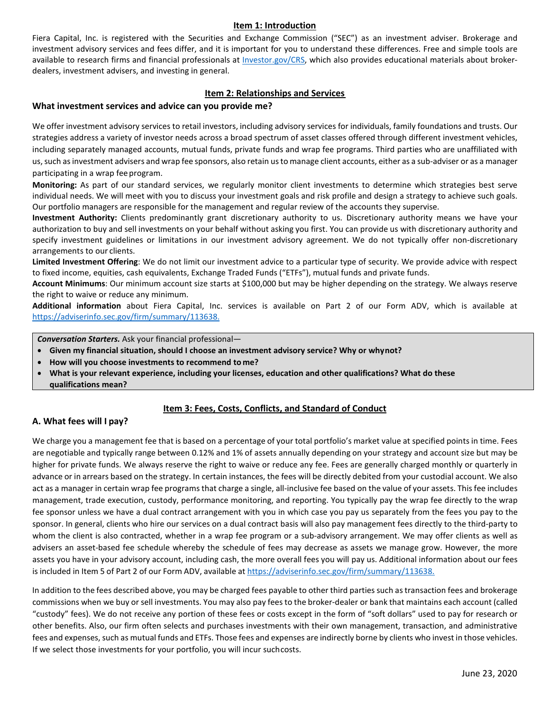#### **Item 1: Introduction**

Fiera Capital, Inc. is registered with the Securities and Exchange Commission ("SEC") as an investment adviser. Brokerage and investment advisory services and fees differ, and it is important for you to understand these differences. Free and simple tools are available to research firms and financial professionals at [Investor.gov/CRS,](https://www.investor.gov/CRS) which also provides educational materials about brokerdealers, investment advisers, and investing in general.

#### **Item 2: Relationships and Services**

#### **What investment services and advice can you provide me?**

We offer investment advisory services to retail investors, including advisory services for individuals, family foundations and trusts. Our strategies address a variety of investor needs across a broad spectrum of asset classes offered through different investment vehicles, including separately managed accounts, mutual funds, private funds and wrap fee programs. Third parties who are unaffiliated with us, such as investment advisers and wrap fee sponsors, also retain us to manage client accounts, either as a sub-adviser or as a manager participating in a wrap feeprogram.

**Monitoring:** As part of our standard services, we regularly monitor client investments to determine which strategies best serve individual needs. We will meet with you to discuss your investment goals and risk profile and design a strategy to achieve such goals. Our portfolio managers are responsible for the management and regular review of the accounts they supervise.

**Investment Authority:** Clients predominantly grant discretionary authority to us. Discretionary authority means we have your authorization to buy and sell investments on your behalf without asking you first. You can provide us with discretionary authority and specify investment guidelines or limitations in our investment advisory agreement. We do not typically offer non-discretionary arrangements to our clients.

**Limited Investment Offering**: We do not limit our investment advice to a particular type of security. We provide advice with respect to fixed income, equities, cash equivalents, Exchange Traded Funds ("ETFs"), mutual funds and private funds.

**Account Minimums**: Our minimum account size starts at \$100,000 but may be higher depending on the strategy. We always reserve the right to waive or reduce any minimum.

**Additional information** about Fiera Capital, Inc. services is available on Part 2 of our Form ADV, which is available at [https://adviserinfo.sec.gov/firm/summary/113638.](https://adviserinfo.sec.gov/firm/summary/113638)

*Conversation Starters.* Ask your financial professional—

- **Given my financial situation, should I choose an investment advisory service? Why or whynot?**
- **How will you choose investments to recommend to me?**
- **What is your relevant experience, including your licenses, education and other qualifications? What do these qualifications mean?**

#### **Item 3: Fees, Costs, Conflicts, and Standard of Conduct**

#### **A. What fees will I pay?**

We charge you a management fee that is based on a percentage of your total portfolio's market value at specified points in time. Fees are negotiable and typically range between 0.12% and 1% of assets annually depending on your strategy and account size but may be higher for private funds. We always reserve the right to waive or reduce any fee. Fees are generally charged monthly or quarterly in advance or in arrears based on the strategy. In certain instances, the fees will be directly debited from your custodial account. We also act as a manager in certain wrap fee programs that charge a single, all-inclusive fee based on the value of your assets. This fee includes management, trade execution, custody, performance monitoring, and reporting. You typically pay the wrap fee directly to the wrap fee sponsor unless we have a dual contract arrangement with you in which case you pay us separately from the fees you pay to the sponsor. In general, clients who hire our services on a dual contract basis will also pay management fees directly to the third-party to whom the client is also contracted, whether in a wrap fee program or a sub-advisory arrangement. We may offer clients as well as advisers an asset-based fee schedule whereby the schedule of fees may decrease as assets we manage grow. However, the more assets you have in your advisory account, including cash, the more overall fees you will pay us. Additional information about our fees is included in Item 5 of Part 2 of our Form ADV, available at [https://adviserinfo.sec.gov/firm/summary/113638.](https://adviserinfo.sec.gov/firm/summary/113638)

In addition to the fees described above, you may be charged fees payable to other third parties such astransaction fees and brokerage commissions when we buy or sell investments. You may also pay feesto the broker-dealer or bank that maintains each account (called "custody" fees). We do not receive any portion of these fees or costs except in the form of "soft dollars" used to pay for research or other benefits. Also, our firm often selects and purchases investments with their own management, transaction, and administrative fees and expenses, such as mutual funds and ETFs. Those fees and expenses are indirectly borne by clients who invest in those vehicles. If we select those investments for your portfolio, you will incur suchcosts.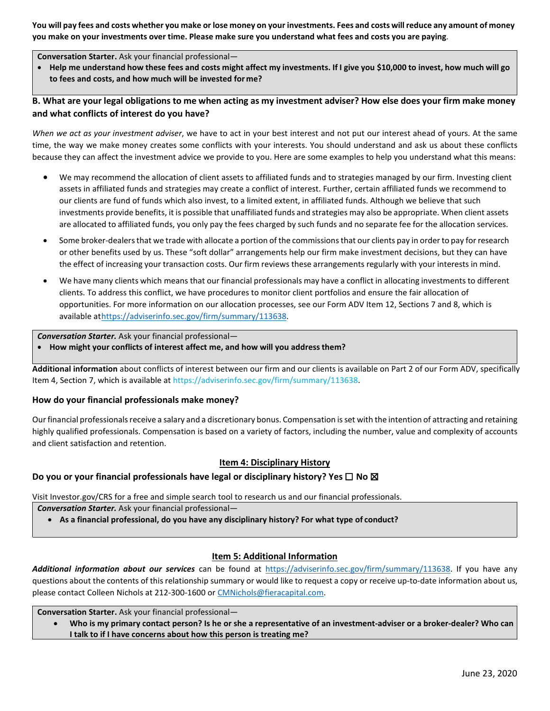You will pay fees and costs whether you make or lose money on your investments. Fees and costs will reduce any amount of money you make on your investments over time. Please make sure you understand what fees and costs you are paying.

#### **Conversation Starter.** Ask your financial professional—

• Help me understand how these fees and costs might affect my investments. If I give you \$10,000 to invest, how much will go **to fees and costs, and how much will be invested for me?**

#### B. What are your legal obligations to me when acting as my investment adviser? How else does your firm make money **and what conflicts of interest do you have?**

*When we act as your investment adviser*, we have to act in your best interest and not put our interest ahead of yours. At the same time, the way we make money creates some conflicts with your interests. You should understand and ask us about these conflicts because they can affect the investment advice we provide to you. Here are some examples to help you understand what this means:

- We may recommend the allocation of client assets to affiliated funds and to strategies managed by our firm. Investing client assets in affiliated funds and strategies may create a conflict of interest. Further, certain affiliated funds we recommend to our clients are fund of funds which also invest, to a limited extent, in affiliated funds. Although we believe that such investments provide benefits, it is possible that unaffiliated funds and strategies may also be appropriate. When client assets are allocated to affiliated funds, you only pay the fees charged by such funds and no separate fee for the allocation services.
- Some broker-dealers that we trade with allocate a portion of the commissions that our clients pay in order to pay for research or other benefits used by us. These "soft dollar" arrangements help our firm make investment decisions, but they can have the effect of increasing your transaction costs. Our firm reviews these arrangements regularly with your interests in mind.
- We have many clients which means that our financial professionals may have a conflict in allocating investments to different clients. To address this conflict, we have procedures to monitor client portfolios and ensure the fair allocation of opportunities. For more information on our allocation processes, see our Form ADV Item 12, Sections 7 and 8, which is available a[thttps://adviserinfo.sec.gov/firm/summary/113638.](https://adviserinfo.sec.gov/firm/summary/113638)

*Conversation Starter.* Ask your financial professional—

• **How might your conflicts of interest affect me, and how will you addressthem?**

**Additional information** about conflicts of interest between our firm and our clients is available on Part 2 of our Form ADV, specifically Item 4, Section 7, which is available a[t https://adviserinfo.sec.gov/firm/summary/113638.](https://adviserinfo.sec.gov/firm/summary/113638)

#### **How do your financial professionals make money?**

Our financial professionals receive a salary and a discretionary bonus. Compensation is set with the intention of attracting and retaining highly qualified professionals. Compensation is based on a variety of factors, including the number, value and complexity of accounts and client satisfaction and retention.

#### **Item 4: Disciplinary History**

#### **Do you or your financial professionals have legal or disciplinary history? Yes □ No ⊠**

Visit [Investor.gov/CRS](https://www.investor.gov/CRS) for a free and simple search tool to research us and our financial professionals.

*Conversation Starter.* Ask your financial professional—

• **As a financial professional, do you have any disciplinary history? For what type of conduct?**

#### **Item 5: Additional Information**

*Additional information about our services* can be found at [https://adviserinfo.sec.gov/firm/summary/113638.](https://adviserinfo.sec.gov/firm/summary/113638) If you have any questions about the contents of this relationship summary or would like to request a copy or receive up-to-date information about us, please contact Colleen Nichols at 212-300-1600 or [CMNichols@fieracapital.com.](mailto:CMNichols@fieracapital.com)

**Conversation Starter.** Ask your financial professional—

• **Who is my primary contact person? Is he or she a representative of an investment-adviser or a broker-dealer? Who can I talk to if I have concerns about how this person is treating me?**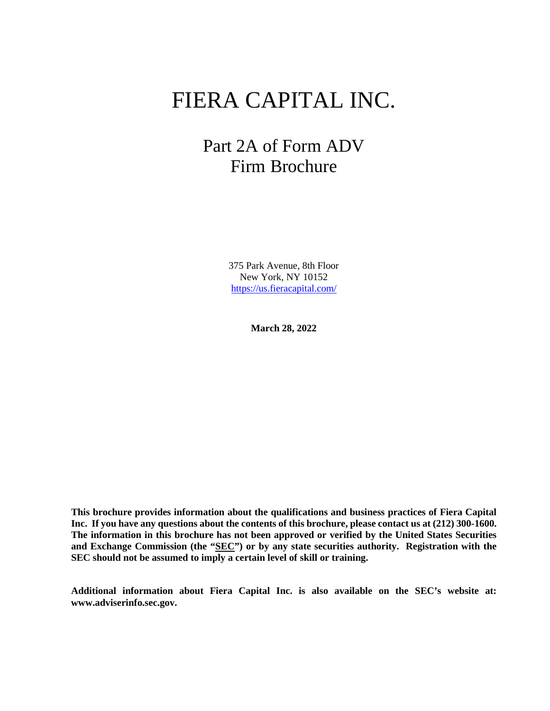# FIERA CAPITAL INC.

# Part 2A of Form ADV Firm Brochure

375 Park Avenue, 8th Floor New York, NY 10152 <https://us.fieracapital.com/>

**March 28, 2022**

**This brochure provides information about the qualifications and business practices of Fiera Capital Inc. If you have any questions about the contents of this brochure, please contact us at (212) 300-1600. The information in this brochure has not been approved or verified by the United States Securities and Exchange Commission (the "SEC") or by any state securities authority. Registration with the SEC should not be assumed to imply a certain level of skill or training.**

**Additional information about Fiera Capital Inc. is also available on the SEC's website at: [www.adviserinfo.sec.gov.](http://www.adviserinfo.sec.gov/)**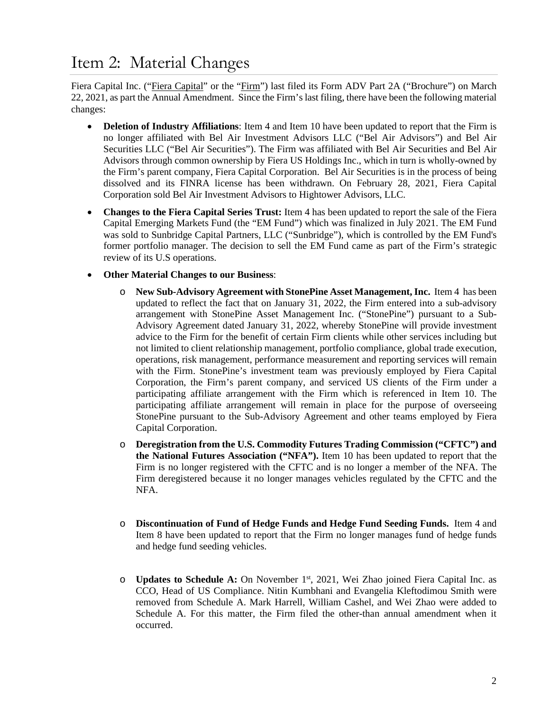# <span id="page-3-0"></span>Item 2: Material Changes

Fiera Capital Inc. ("Fiera Capital" or the "Firm") last filed its Form ADV Part 2A ("Brochure") on March 22, 2021, as part the Annual Amendment. Since the Firm's last filing, there have been the following material changes:

- **Deletion of Industry Affiliations**: Item 4 and Item 10 have been updated to report that the Firm is no longer affiliated with Bel Air Investment Advisors LLC ("Bel Air Advisors") and Bel Air Securities LLC ("Bel Air Securities"). The Firm was affiliated with Bel Air Securities and Bel Air Advisors through common ownership by Fiera US Holdings Inc., which in turn is wholly-owned by the Firm's parent company, Fiera Capital Corporation. Bel Air Securities is in the process of being dissolved and its FINRA license has been withdrawn. On February 28, 2021, Fiera Capital Corporation sold Bel Air Investment Advisors to Hightower Advisors, LLC.
- **Changes to the Fiera Capital Series Trust:** Item 4 has been updated to report the sale of the Fiera Capital Emerging Markets Fund (the "EM Fund") which was finalized in July 2021. The EM Fund was sold to Sunbridge Capital Partners, LLC ("Sunbridge"), which is controlled by the EM Fund's former portfolio manager. The decision to sell the EM Fund came as part of the Firm's strategic review of its U.S operations.
- **Other Material Changes to our Business**:
	- o **New Sub-Advisory Agreement with StonePine Asset Management, Inc.** Item 4 has been updated to reflect the fact that on January 31, 2022, the Firm entered into a sub-advisory arrangement with StonePine Asset Management Inc. ("StonePine") pursuant to a Sub-Advisory Agreement dated January 31, 2022, whereby StonePine will provide investment advice to the Firm for the benefit of certain Firm clients while other services including but not limited to client relationship management, portfolio compliance, global trade execution, operations, risk management, performance measurement and reporting services will remain with the Firm. StonePine's investment team was previously employed by Fiera Capital Corporation, the Firm's parent company, and serviced US clients of the Firm under a participating affiliate arrangement with the Firm which is referenced in Item 10. The participating affiliate arrangement will remain in place for the purpose of overseeing StonePine pursuant to the Sub-Advisory Agreement and other teams employed by Fiera Capital Corporation.
	- o **Deregistration from the U.S. Commodity Futures Trading Commission ("CFTC") and the National Futures Association ("NFA").** Item 10 has been updated to report that the Firm is no longer registered with the CFTC and is no longer a member of the NFA. The Firm deregistered because it no longer manages vehicles regulated by the CFTC and the NFA.
	- o **Discontinuation of Fund of Hedge Funds and Hedge Fund Seeding Funds.** Item 4 and Item 8 have been updated to report that the Firm no longer manages fund of hedge funds and hedge fund seeding vehicles.
	- o **Updates to Schedule A:** On November 1st, 2021, Wei Zhao joined Fiera Capital Inc. as CCO, Head of US Compliance. Nitin Kumbhani and Evangelia Kleftodimou Smith were removed from Schedule A. Mark Harrell, William Cashel, and Wei Zhao were added to Schedule A. For this matter, the Firm filed the other-than annual amendment when it occurred.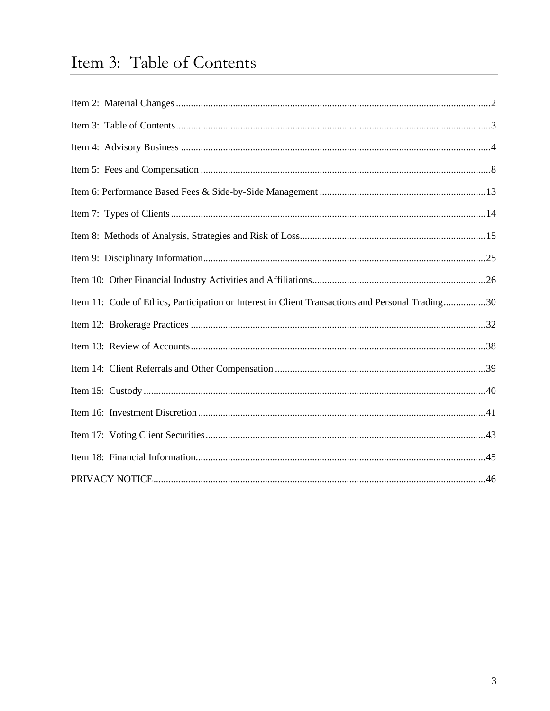# <span id="page-4-0"></span>Item 3: Table of Contents

| Item 11: Code of Ethics, Participation or Interest in Client Transactions and Personal Trading30 |  |
|--------------------------------------------------------------------------------------------------|--|
|                                                                                                  |  |
|                                                                                                  |  |
|                                                                                                  |  |
|                                                                                                  |  |
|                                                                                                  |  |
|                                                                                                  |  |
|                                                                                                  |  |
|                                                                                                  |  |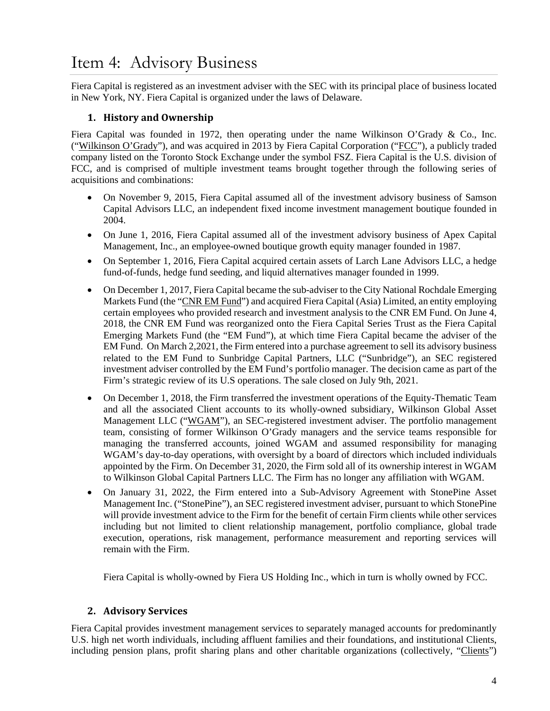# <span id="page-5-0"></span>Item 4: Advisory Business

Fiera Capital is registered as an investment adviser with the SEC with its principal place of business located in New York, NY. Fiera Capital is organized under the laws of Delaware.

## **1. History and Ownership**

Fiera Capital was founded in 1972, then operating under the name Wilkinson O'Grady & Co., Inc. ("Wilkinson O'Grady"), and was acquired in 2013 by Fiera Capital Corporation ("FCC"), a publicly traded company listed on the Toronto Stock Exchange under the symbol FSZ. Fiera Capital is the U.S. division of FCC, and is comprised of multiple investment teams brought together through the following series of acquisitions and combinations:

- On November 9, 2015, Fiera Capital assumed all of the investment advisory business of Samson Capital Advisors LLC, an independent fixed income investment management boutique founded in 2004.
- On June 1, 2016, Fiera Capital assumed all of the investment advisory business of Apex Capital Management, Inc., an employee-owned boutique growth equity manager founded in 1987.
- On September 1, 2016, Fiera Capital acquired certain assets of Larch Lane Advisors LLC, a hedge fund-of-funds, hedge fund seeding, and liquid alternatives manager founded in 1999.
- On December 1, 2017, Fiera Capital became the sub-adviser to the City National Rochdale Emerging Markets Fund (the "CNR EM Fund") and acquired Fiera Capital (Asia) Limited, an entity employing certain employees who provided research and investment analysis to the CNR EM Fund. On June 4, 2018, the CNR EM Fund was reorganized onto the Fiera Capital Series Trust as the Fiera Capital Emerging Markets Fund (the "EM Fund"), at which time Fiera Capital became the adviser of the EM Fund. On March 2,2021, the Firm entered into a purchase agreement to sell its advisory business related to the EM Fund to Sunbridge Capital Partners, LLC ("Sunbridge"), an SEC registered investment adviser controlled by the EM Fund's portfolio manager. The decision came as part of the Firm's strategic review of its U.S operations. The sale closed on July 9th, 2021.
- On December 1, 2018, the Firm transferred the investment operations of the Equity-Thematic Team and all the associated Client accounts to its wholly-owned subsidiary, Wilkinson Global Asset Management LLC ("WGAM"), an SEC-registered investment adviser. The portfolio management team, consisting of former Wilkinson O'Grady managers and the service teams responsible for managing the transferred accounts, joined WGAM and assumed responsibility for managing WGAM's day-to-day operations, with oversight by a board of directors which included individuals appointed by the Firm. On December 31, 2020, the Firm sold all of its ownership interest in WGAM to Wilkinson Global Capital Partners LLC. The Firm has no longer any affiliation with WGAM.
- On January 31, 2022, the Firm entered into a Sub-Advisory Agreement with StonePine Asset Management Inc. ("StonePine"), an SEC registered investment adviser, pursuant to which StonePine will provide investment advice to the Firm for the benefit of certain Firm clients while other services including but not limited to client relationship management, portfolio compliance, global trade execution, operations, risk management, performance measurement and reporting services will remain with the Firm.

Fiera Capital is wholly-owned by Fiera US Holding Inc., which in turn is wholly owned by FCC.

## **2. Advisory Services**

Fiera Capital provides investment management services to separately managed accounts for predominantly U.S. high net worth individuals, including affluent families and their foundations, and institutional Clients, including pension plans, profit sharing plans and other charitable organizations (collectively, "Clients")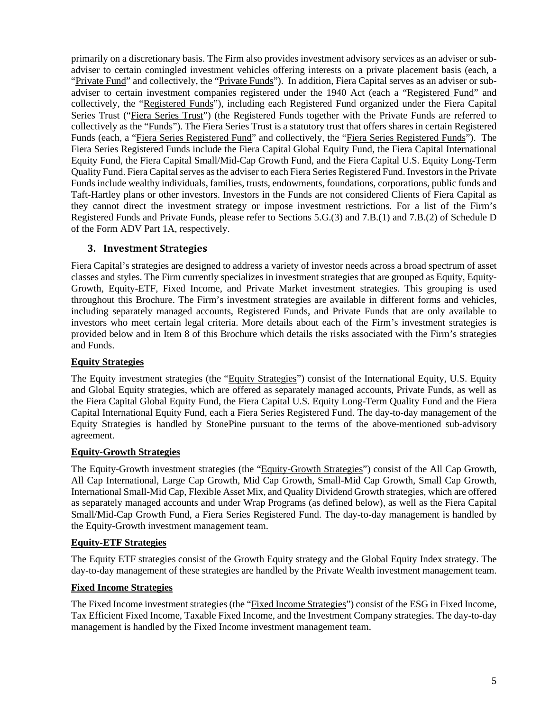primarily on a discretionary basis. The Firm also provides investment advisory services as an adviser or subadviser to certain comingled investment vehicles offering interests on a private placement basis (each, a "Private Fund" and collectively, the "Private Funds"). In addition, Fiera Capital serves as an adviser or subadviser to certain investment companies registered under the 1940 Act (each a "Registered Fund" and collectively, the "Registered Funds"), including each Registered Fund organized under the Fiera Capital Series Trust ("Fiera Series Trust") (the Registered Funds together with the Private Funds are referred to collectively as the "Funds"). The Fiera Series Trust is a statutory trust that offers shares in certain Registered Funds (each, a "Fiera Series Registered Fund" and collectively, the "Fiera Series Registered Funds"). The Fiera Series Registered Funds include the Fiera Capital Global Equity Fund, the Fiera Capital International Equity Fund, the Fiera Capital Small/Mid-Cap Growth Fund, and the Fiera Capital U.S. Equity Long-Term Quality Fund. Fiera Capital serves as the adviser to each Fiera Series Registered Fund. Investors in the Private Funds include wealthy individuals, families, trusts, endowments, foundations, corporations, public funds and Taft-Hartley plans or other investors. Investors in the Funds are not considered Clients of Fiera Capital as they cannot direct the investment strategy or impose investment restrictions. For a list of the Firm's Registered Funds and Private Funds, please refer to Sections 5.G.(3) and 7.B.(1) and 7.B.(2) of Schedule D of the Form ADV Part 1A, respectively.

## **3. Investment Strategies**

Fiera Capital's strategies are designed to address a variety of investor needs across a broad spectrum of asset classes and styles. The Firm currently specializes in investment strategies that are grouped as Equity, Equity-Growth, Equity-ETF, Fixed Income, and Private Market investment strategies. This grouping is used throughout this Brochure. The Firm's investment strategies are available in different forms and vehicles, including separately managed accounts, Registered Funds, and Private Funds that are only available to investors who meet certain legal criteria. More details about each of the Firm's investment strategies is provided below and in Item 8 of this Brochure which details the risks associated with the Firm's strategies and Funds.

## **Equity Strategies**

The Equity investment strategies (the "Equity Strategies") consist of the International Equity, U.S. Equity and Global Equity strategies, which are offered as separately managed accounts, Private Funds, as well as the Fiera Capital Global Equity Fund, the Fiera Capital U.S. Equity Long-Term Quality Fund and the Fiera Capital International Equity Fund, each a Fiera Series Registered Fund. The day-to-day management of the Equity Strategies is handled by StonePine pursuant to the terms of the above-mentioned sub-advisory agreement.

#### **Equity-Growth Strategies**

The Equity-Growth investment strategies (the "Equity-Growth Strategies") consist of the All Cap Growth, All Cap International, Large Cap Growth, Mid Cap Growth, Small-Mid Cap Growth, Small Cap Growth, International Small-Mid Cap, Flexible Asset Mix, and Quality Dividend Growth strategies, which are offered as separately managed accounts and under Wrap Programs (as defined below), as well as the Fiera Capital Small/Mid-Cap Growth Fund, a Fiera Series Registered Fund. The day-to-day management is handled by the Equity-Growth investment management team.

#### **Equity-ETF Strategies**

The Equity ETF strategies consist of the Growth Equity strategy and the Global Equity Index strategy. The day-to-day management of these strategies are handled by the Private Wealth investment management team.

#### **Fixed Income Strategies**

The Fixed Income investment strategies (the "Fixed Income Strategies") consist of the ESG in Fixed Income, Tax Efficient Fixed Income, Taxable Fixed Income, and the Investment Company strategies. The day-to-day management is handled by the Fixed Income investment management team.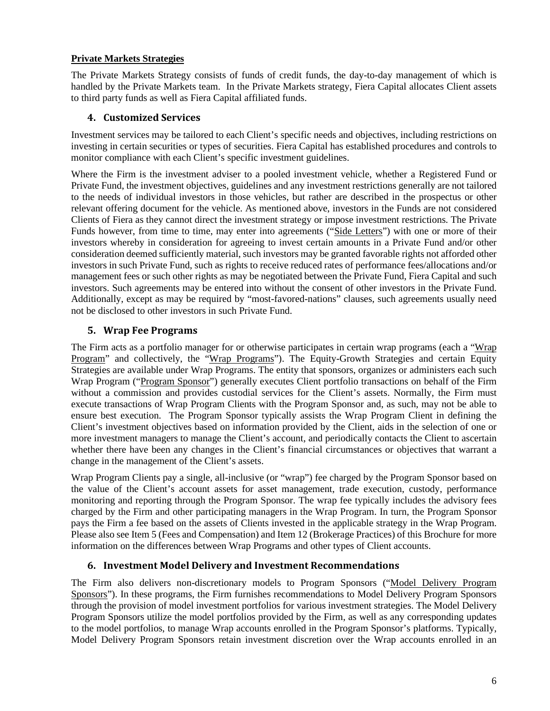## **Private Markets Strategies**

The Private Markets Strategy consists of funds of credit funds, the day-to-day management of which is handled by the Private Markets team. In the Private Markets strategy, Fiera Capital allocates Client assets to third party funds as well as Fiera Capital affiliated funds.

## **4. Customized Services**

Investment services may be tailored to each Client's specific needs and objectives, including restrictions on investing in certain securities or types of securities. Fiera Capital has established procedures and controls to monitor compliance with each Client's specific investment guidelines.

Where the Firm is the investment adviser to a pooled investment vehicle, whether a Registered Fund or Private Fund, the investment objectives, guidelines and any investment restrictions generally are not tailored to the needs of individual investors in those vehicles, but rather are described in the prospectus or other relevant offering document for the vehicle. As mentioned above, investors in the Funds are not considered Clients of Fiera as they cannot direct the investment strategy or impose investment restrictions. The Private Funds however, from time to time, may enter into agreements ("Side Letters") with one or more of their investors whereby in consideration for agreeing to invest certain amounts in a Private Fund and/or other consideration deemed sufficiently material, such investors may be granted favorable rights not afforded other investors in such Private Fund, such as rights to receive reduced rates of performance fees/allocations and/or management fees or such other rights as may be negotiated between the Private Fund, Fiera Capital and such investors. Such agreements may be entered into without the consent of other investors in the Private Fund. Additionally, except as may be required by "most-favored-nations" clauses, such agreements usually need not be disclosed to other investors in such Private Fund.

# **5. Wrap Fee Programs**

The Firm acts as a portfolio manager for or otherwise participates in certain wrap programs (each a "Wrap Program" and collectively, the "Wrap Programs"). The Equity-Growth Strategies and certain Equity Strategies are available under Wrap Programs. The entity that sponsors, organizes or administers each such Wrap Program ("Program Sponsor") generally executes Client portfolio transactions on behalf of the Firm without a commission and provides custodial services for the Client's assets. Normally, the Firm must execute transactions of Wrap Program Clients with the Program Sponsor and, as such, may not be able to ensure best execution. The Program Sponsor typically assists the Wrap Program Client in defining the Client's investment objectives based on information provided by the Client, aids in the selection of one or more investment managers to manage the Client's account, and periodically contacts the Client to ascertain whether there have been any changes in the Client's financial circumstances or objectives that warrant a change in the management of the Client's assets.

Wrap Program Clients pay a single, all-inclusive (or "wrap") fee charged by the Program Sponsor based on the value of the Client's account assets for asset management, trade execution, custody, performance monitoring and reporting through the Program Sponsor. The wrap fee typically includes the advisory fees charged by the Firm and other participating managers in the Wrap Program. In turn, the Program Sponsor pays the Firm a fee based on the assets of Clients invested in the applicable strategy in the Wrap Program. Please also see Item 5 (Fees and Compensation) and Item 12 (Brokerage Practices) of this Brochure for more information on the differences between Wrap Programs and other types of Client accounts.

# **6. Investment Model Delivery and Investment Recommendations**

The Firm also delivers non-discretionary models to Program Sponsors ("Model Delivery Program Sponsors"). In these programs, the Firm furnishes recommendations to Model Delivery Program Sponsors through the provision of model investment portfolios for various investment strategies. The Model Delivery Program Sponsors utilize the model portfolios provided by the Firm, as well as any corresponding updates to the model portfolios, to manage Wrap accounts enrolled in the Program Sponsor's platforms. Typically, Model Delivery Program Sponsors retain investment discretion over the Wrap accounts enrolled in an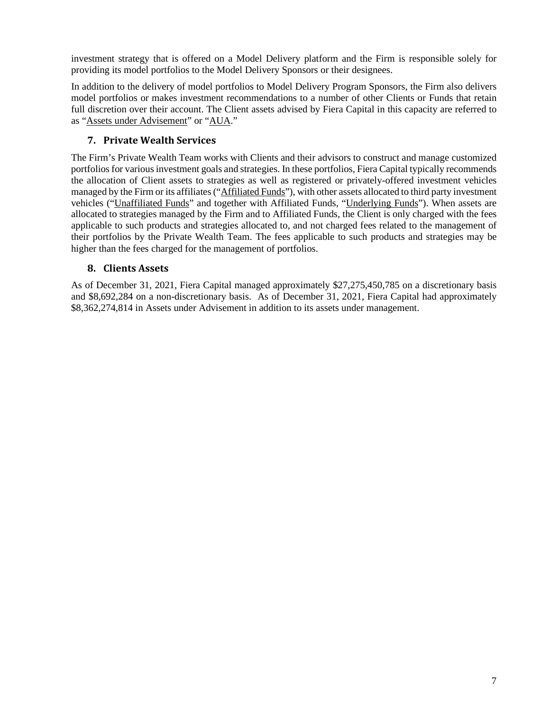investment strategy that is offered on a Model Delivery platform and the Firm is responsible solely for providing its model portfolios to the Model Delivery Sponsors or their designees.

In addition to the delivery of model portfolios to Model Delivery Program Sponsors, the Firm also delivers model portfolios or makes investment recommendations to a number of other Clients or Funds that retain full discretion over their account. The Client assets advised by Fiera Capital in this capacity are referred to as "Assets under Advisement" or "AUA."

## **7. Private Wealth Services**

The Firm's Private Wealth Team works with Clients and their advisors to construct and manage customized portfolios for various investment goals and strategies. In these portfolios, Fiera Capital typically recommends the allocation of Client assets to strategies as well as registered or privately-offered investment vehicles managed by the Firm or its affiliates ("Affiliated Funds"), with other assets allocated to third party investment vehicles ("Unaffiliated Funds" and together with Affiliated Funds, "Underlying Funds"). When assets are allocated to strategies managed by the Firm and to Affiliated Funds, the Client is only charged with the fees applicable to such products and strategies allocated to, and not charged fees related to the management of their portfolios by the Private Wealth Team. The fees applicable to such products and strategies may be higher than the fees charged for the management of portfolios.

## **8. Clients Assets**

As of December 31, 2021, Fiera Capital managed approximately \$27,275,450,785 on a discretionary basis and \$8,692,284 on a non-discretionary basis. As of December 31, 2021, Fiera Capital had approximately \$8,362,274,814 in Assets under Advisement in addition to its assets under management.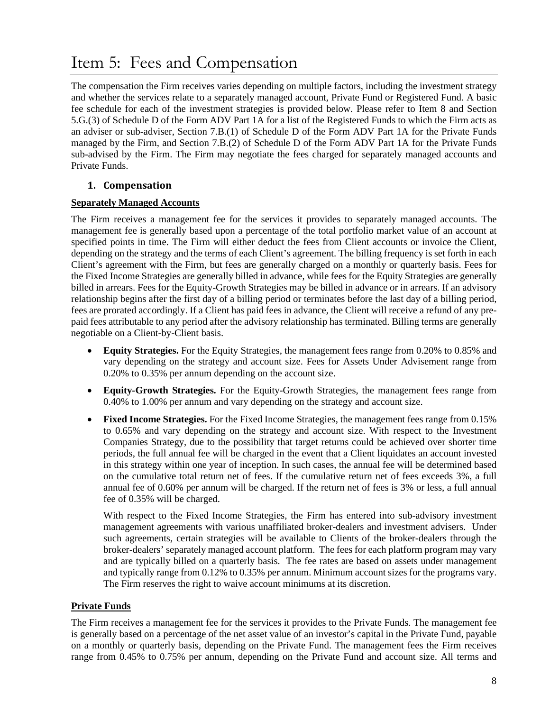# <span id="page-9-0"></span>Item 5: Fees and Compensation

The compensation the Firm receives varies depending on multiple factors, including the investment strategy and whether the services relate to a separately managed account, Private Fund or Registered Fund. A basic fee schedule for each of the investment strategies is provided below. Please refer to Item 8 and Section 5.G.(3) of Schedule D of the Form ADV Part 1A for a list of the Registered Funds to which the Firm acts as an adviser or sub-adviser, Section 7.B.(1) of Schedule D of the Form ADV Part 1A for the Private Funds managed by the Firm, and Section 7.B.(2) of Schedule D of the Form ADV Part 1A for the Private Funds sub-advised by the Firm. The Firm may negotiate the fees charged for separately managed accounts and Private Funds.

## **1. Compensation**

## **Separately Managed Accounts**

The Firm receives a management fee for the services it provides to separately managed accounts. The management fee is generally based upon a percentage of the total portfolio market value of an account at specified points in time. The Firm will either deduct the fees from Client accounts or invoice the Client, depending on the strategy and the terms of each Client's agreement. The billing frequency is set forth in each Client's agreement with the Firm, but fees are generally charged on a monthly or quarterly basis. Fees for the Fixed Income Strategies are generally billed in advance, while fees for the Equity Strategies are generally billed in arrears. Fees for the Equity-Growth Strategies may be billed in advance or in arrears. If an advisory relationship begins after the first day of a billing period or terminates before the last day of a billing period, fees are prorated accordingly. If a Client has paid fees in advance, the Client will receive a refund of any prepaid fees attributable to any period after the advisory relationship has terminated. Billing terms are generally negotiable on a Client-by-Client basis.

- **Equity Strategies.** For the Equity Strategies, the management fees range from 0.20% to 0.85% and vary depending on the strategy and account size. Fees for Assets Under Advisement range from 0.20% to 0.35% per annum depending on the account size.
- **Equity-Growth Strategies.** For the Equity-Growth Strategies, the management fees range from 0.40% to 1.00% per annum and vary depending on the strategy and account size.
- **Fixed Income Strategies.** For the Fixed Income Strategies, the management fees range from 0.15% to 0.65% and vary depending on the strategy and account size. With respect to the Investment Companies Strategy, due to the possibility that target returns could be achieved over shorter time periods, the full annual fee will be charged in the event that a Client liquidates an account invested in this strategy within one year of inception. In such cases, the annual fee will be determined based on the cumulative total return net of fees. If the cumulative return net of fees exceeds 3%, a full annual fee of 0.60% per annum will be charged. If the return net of fees is 3% or less, a full annual fee of 0.35% will be charged.

With respect to the Fixed Income Strategies, the Firm has entered into sub-advisory investment management agreements with various unaffiliated broker-dealers and investment advisers. Under such agreements, certain strategies will be available to Clients of the broker-dealers through the broker-dealers' separately managed account platform. The fees for each platform program may vary and are typically billed on a quarterly basis. The fee rates are based on assets under management and typically range from 0.12% to 0.35% per annum. Minimum account sizes for the programs vary. The Firm reserves the right to waive account minimums at its discretion.

## **Private Funds**

The Firm receives a management fee for the services it provides to the Private Funds. The management fee is generally based on a percentage of the net asset value of an investor's capital in the Private Fund, payable on a monthly or quarterly basis, depending on the Private Fund. The management fees the Firm receives range from 0.45% to 0.75% per annum, depending on the Private Fund and account size. All terms and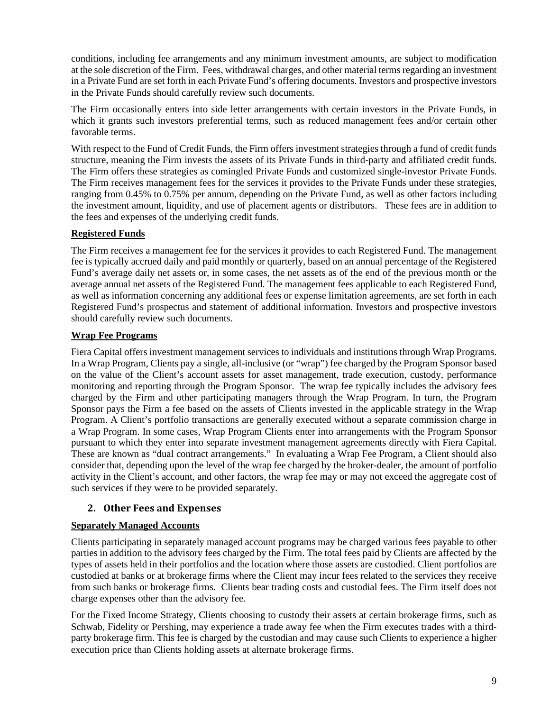conditions, including fee arrangements and any minimum investment amounts, are subject to modification at the sole discretion of the Firm. Fees, withdrawal charges, and other material terms regarding an investment in a Private Fund are set forth in each Private Fund's offering documents. Investors and prospective investors in the Private Funds should carefully review such documents.

The Firm occasionally enters into side letter arrangements with certain investors in the Private Funds, in which it grants such investors preferential terms, such as reduced management fees and/or certain other favorable terms.

With respect to the Fund of Credit Funds, the Firm offers investment strategies through a fund of credit funds structure, meaning the Firm invests the assets of its Private Funds in third-party and affiliated credit funds. The Firm offers these strategies as comingled Private Funds and customized single-investor Private Funds. The Firm receives management fees for the services it provides to the Private Funds under these strategies, ranging from 0.45% to 0.75% per annum, depending on the Private Fund, as well as other factors including the investment amount, liquidity, and use of placement agents or distributors. These fees are in addition to the fees and expenses of the underlying credit funds.

## **Registered Funds**

The Firm receives a management fee for the services it provides to each Registered Fund. The management fee is typically accrued daily and paid monthly or quarterly, based on an annual percentage of the Registered Fund's average daily net assets or, in some cases, the net assets as of the end of the previous month or the average annual net assets of the Registered Fund. The management fees applicable to each Registered Fund, as well as information concerning any additional fees or expense limitation agreements, are set forth in each Registered Fund's prospectus and statement of additional information. Investors and prospective investors should carefully review such documents.

## **Wrap Fee Programs**

Fiera Capital offers investment management services to individuals and institutions through Wrap Programs. In a Wrap Program, Clients pay a single, all-inclusive (or "wrap") fee charged by the Program Sponsor based on the value of the Client's account assets for asset management, trade execution, custody, performance monitoring and reporting through the Program Sponsor. The wrap fee typically includes the advisory fees charged by the Firm and other participating managers through the Wrap Program. In turn, the Program Sponsor pays the Firm a fee based on the assets of Clients invested in the applicable strategy in the Wrap Program. A Client's portfolio transactions are generally executed without a separate commission charge in a Wrap Program. In some cases, Wrap Program Clients enter into arrangements with the Program Sponsor pursuant to which they enter into separate investment management agreements directly with Fiera Capital. These are known as "dual contract arrangements." In evaluating a Wrap Fee Program, a Client should also consider that, depending upon the level of the wrap fee charged by the broker-dealer, the amount of portfolio activity in the Client's account, and other factors, the wrap fee may or may not exceed the aggregate cost of such services if they were to be provided separately.

## **2. Other Fees and Expenses**

## **Separately Managed Accounts**

Clients participating in separately managed account programs may be charged various fees payable to other parties in addition to the advisory fees charged by the Firm. The total fees paid by Clients are affected by the types of assets held in their portfolios and the location where those assets are custodied. Client portfolios are custodied at banks or at brokerage firms where the Client may incur fees related to the services they receive from such banks or brokerage firms. Clients bear trading costs and custodial fees. The Firm itself does not charge expenses other than the advisory fee.

For the Fixed Income Strategy, Clients choosing to custody their assets at certain brokerage firms, such as Schwab, Fidelity or Pershing, may experience a trade away fee when the Firm executes trades with a thirdparty brokerage firm. This fee is charged by the custodian and may cause such Clients to experience a higher execution price than Clients holding assets at alternate brokerage firms.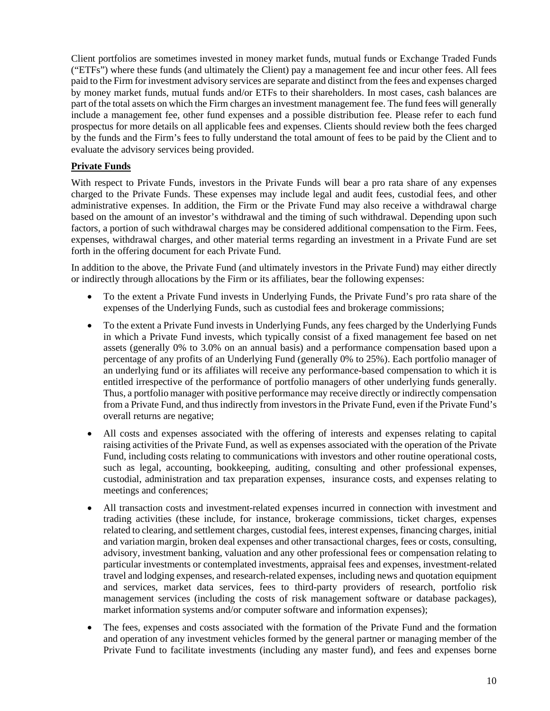Client portfolios are sometimes invested in money market funds, mutual funds or Exchange Traded Funds ("ETFs") where these funds (and ultimately the Client) pay a management fee and incur other fees. All fees paid to the Firm for investment advisory services are separate and distinct from the fees and expenses charged by money market funds, mutual funds and/or ETFs to their shareholders. In most cases, cash balances are part of the total assets on which the Firm charges an investment management fee. The fund fees will generally include a management fee, other fund expenses and a possible distribution fee. Please refer to each fund prospectus for more details on all applicable fees and expenses. Clients should review both the fees charged by the funds and the Firm's fees to fully understand the total amount of fees to be paid by the Client and to evaluate the advisory services being provided.

## **Private Funds**

With respect to Private Funds, investors in the Private Funds will bear a pro rata share of any expenses charged to the Private Funds. These expenses may include legal and audit fees, custodial fees, and other administrative expenses. In addition, the Firm or the Private Fund may also receive a withdrawal charge based on the amount of an investor's withdrawal and the timing of such withdrawal. Depending upon such factors, a portion of such withdrawal charges may be considered additional compensation to the Firm. Fees, expenses, withdrawal charges, and other material terms regarding an investment in a Private Fund are set forth in the offering document for each Private Fund.

In addition to the above, the Private Fund (and ultimately investors in the Private Fund) may either directly or indirectly through allocations by the Firm or its affiliates, bear the following expenses:

- To the extent a Private Fund invests in Underlying Funds, the Private Fund's pro rata share of the expenses of the Underlying Funds, such as custodial fees and brokerage commissions;
- To the extent a Private Fund invests in Underlying Funds, any fees charged by the Underlying Funds in which a Private Fund invests, which typically consist of a fixed management fee based on net assets (generally 0% to 3.0% on an annual basis) and a performance compensation based upon a percentage of any profits of an Underlying Fund (generally 0% to 25%). Each portfolio manager of an underlying fund or its affiliates will receive any performance-based compensation to which it is entitled irrespective of the performance of portfolio managers of other underlying funds generally. Thus, a portfolio manager with positive performance may receive directly or indirectly compensation from a Private Fund, and thus indirectly from investors in the Private Fund, even if the Private Fund's overall returns are negative;
- All costs and expenses associated with the offering of interests and expenses relating to capital raising activities of the Private Fund, as well as expenses associated with the operation of the Private Fund, including costs relating to communications with investors and other routine operational costs, such as legal, accounting, bookkeeping, auditing, consulting and other professional expenses, custodial, administration and tax preparation expenses, insurance costs, and expenses relating to meetings and conferences;
- All transaction costs and investment-related expenses incurred in connection with investment and trading activities (these include, for instance, brokerage commissions, ticket charges, expenses related to clearing, and settlement charges, custodial fees, interest expenses, financing charges, initial and variation margin, broken deal expenses and other transactional charges, fees or costs, consulting, advisory, investment banking, valuation and any other professional fees or compensation relating to particular investments or contemplated investments, appraisal fees and expenses, investment-related travel and lodging expenses, and research-related expenses, including news and quotation equipment and services, market data services, fees to third-party providers of research, portfolio risk management services (including the costs of risk management software or database packages), market information systems and/or computer software and information expenses);
- The fees, expenses and costs associated with the formation of the Private Fund and the formation and operation of any investment vehicles formed by the general partner or managing member of the Private Fund to facilitate investments (including any master fund), and fees and expenses borne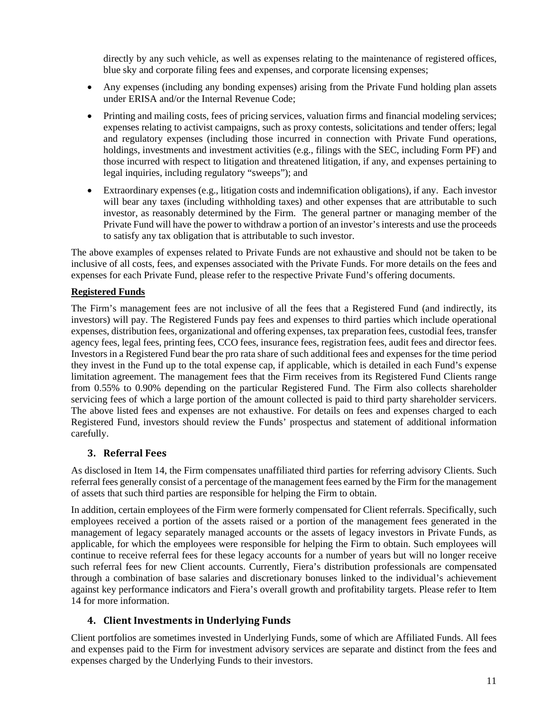directly by any such vehicle, as well as expenses relating to the maintenance of registered offices, blue sky and corporate filing fees and expenses, and corporate licensing expenses;

- Any expenses (including any bonding expenses) arising from the Private Fund holding plan assets under ERISA and/or the Internal Revenue Code;
- Printing and mailing costs, fees of pricing services, valuation firms and financial modeling services; expenses relating to activist campaigns, such as proxy contests, solicitations and tender offers; legal and regulatory expenses (including those incurred in connection with Private Fund operations, holdings, investments and investment activities (e.g., filings with the SEC, including Form PF) and those incurred with respect to litigation and threatened litigation, if any, and expenses pertaining to legal inquiries, including regulatory "sweeps"); and
- Extraordinary expenses (e.g., litigation costs and indemnification obligations), if any. Each investor will bear any taxes (including withholding taxes) and other expenses that are attributable to such investor, as reasonably determined by the Firm. The general partner or managing member of the Private Fund will have the power to withdraw a portion of an investor's interests and use the proceeds to satisfy any tax obligation that is attributable to such investor.

The above examples of expenses related to Private Funds are not exhaustive and should not be taken to be inclusive of all costs, fees, and expenses associated with the Private Funds. For more details on the fees and expenses for each Private Fund, please refer to the respective Private Fund's offering documents.

## **Registered Funds**

The Firm's management fees are not inclusive of all the fees that a Registered Fund (and indirectly, its investors) will pay. The Registered Funds pay fees and expenses to third parties which include operational expenses, distribution fees, organizational and offering expenses, tax preparation fees, custodial fees, transfer agency fees, legal fees, printing fees, CCO fees, insurance fees, registration fees, audit fees and director fees. Investors in a Registered Fund bear the pro rata share of such additional fees and expenses for the time period they invest in the Fund up to the total expense cap, if applicable, which is detailed in each Fund's expense limitation agreement. The management fees that the Firm receives from its Registered Fund Clients range from 0.55% to 0.90% depending on the particular Registered Fund. The Firm also collects shareholder servicing fees of which a large portion of the amount collected is paid to third party shareholder servicers. The above listed fees and expenses are not exhaustive. For details on fees and expenses charged to each Registered Fund, investors should review the Funds' prospectus and statement of additional information carefully.

# **3. Referral Fees**

As disclosed in Item 14, the Firm compensates unaffiliated third parties for referring advisory Clients. Such referral fees generally consist of a percentage of the management fees earned by the Firm for the management of assets that such third parties are responsible for helping the Firm to obtain.

In addition, certain employees of the Firm were formerly compensated for Client referrals. Specifically, such employees received a portion of the assets raised or a portion of the management fees generated in the management of legacy separately managed accounts or the assets of legacy investors in Private Funds, as applicable, for which the employees were responsible for helping the Firm to obtain. Such employees will continue to receive referral fees for these legacy accounts for a number of years but will no longer receive such referral fees for new Client accounts. Currently, Fiera's distribution professionals are compensated through a combination of base salaries and discretionary bonuses linked to the individual's achievement against key performance indicators and Fiera's overall growth and profitability targets. Please refer to Item 14 for more information.

# **4. Client Investments in Underlying Funds**

Client portfolios are sometimes invested in Underlying Funds, some of which are Affiliated Funds. All fees and expenses paid to the Firm for investment advisory services are separate and distinct from the fees and expenses charged by the Underlying Funds to their investors.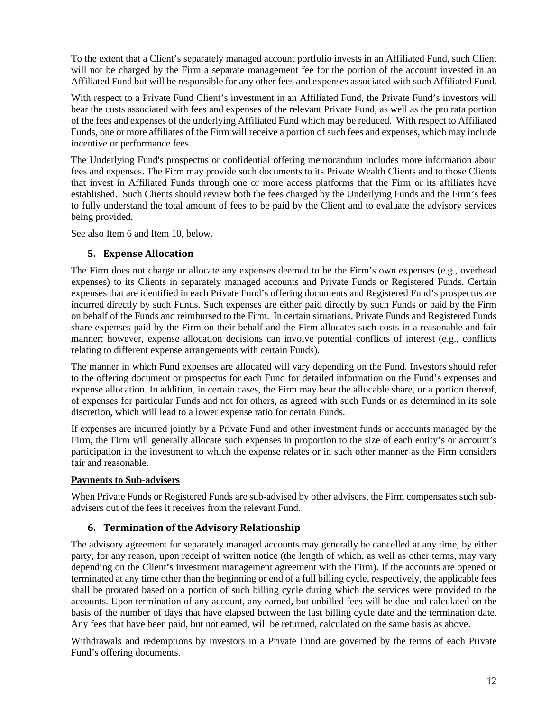To the extent that a Client's separately managed account portfolio invests in an Affiliated Fund, such Client will not be charged by the Firm a separate management fee for the portion of the account invested in an Affiliated Fund but will be responsible for any other fees and expenses associated with such Affiliated Fund.

With respect to a Private Fund Client's investment in an Affiliated Fund, the Private Fund's investors will bear the costs associated with fees and expenses of the relevant Private Fund, as well as the pro rata portion of the fees and expenses of the underlying Affiliated Fund which may be reduced. With respect to Affiliated Funds, one or more affiliates of the Firm will receive a portion of such fees and expenses, which may include incentive or performance fees.

The Underlying Fund's prospectus or confidential offering memorandum includes more information about fees and expenses. The Firm may provide such documents to its Private Wealth Clients and to those Clients that invest in Affiliated Funds through one or more access platforms that the Firm or its affiliates have established. Such Clients should review both the fees charged by the Underlying Funds and the Firm's fees to fully understand the total amount of fees to be paid by the Client and to evaluate the advisory services being provided.

See also Item 6 and Item 10, below.

## **5. Expense Allocation**

The Firm does not charge or allocate any expenses deemed to be the Firm's own expenses (e.g., overhead expenses) to its Clients in separately managed accounts and Private Funds or Registered Funds. Certain expenses that are identified in each Private Fund's offering documents and Registered Fund's prospectus are incurred directly by such Funds. Such expenses are either paid directly by such Funds or paid by the Firm on behalf of the Funds and reimbursed to the Firm. In certain situations, Private Funds and Registered Funds share expenses paid by the Firm on their behalf and the Firm allocates such costs in a reasonable and fair manner; however, expense allocation decisions can involve potential conflicts of interest (e.g., conflicts relating to different expense arrangements with certain Funds).

The manner in which Fund expenses are allocated will vary depending on the Fund. Investors should refer to the offering document or prospectus for each Fund for detailed information on the Fund's expenses and expense allocation. In addition, in certain cases, the Firm may bear the allocable share, or a portion thereof, of expenses for particular Funds and not for others, as agreed with such Funds or as determined in its sole discretion, which will lead to a lower expense ratio for certain Funds.

If expenses are incurred jointly by a Private Fund and other investment funds or accounts managed by the Firm, the Firm will generally allocate such expenses in proportion to the size of each entity's or account's participation in the investment to which the expense relates or in such other manner as the Firm considers fair and reasonable.

## **Payments to Sub-advisers**

When Private Funds or Registered Funds are sub-advised by other advisers, the Firm compensates such subadvisers out of the fees it receives from the relevant Fund.

## **6. Termination of the Advisory Relationship**

The advisory agreement for separately managed accounts may generally be cancelled at any time, by either party, for any reason, upon receipt of written notice (the length of which, as well as other terms, may vary depending on the Client's investment management agreement with the Firm). If the accounts are opened or terminated at any time other than the beginning or end of a full billing cycle, respectively, the applicable fees shall be prorated based on a portion of such billing cycle during which the services were provided to the accounts. Upon termination of any account, any earned, but unbilled fees will be due and calculated on the basis of the number of days that have elapsed between the last billing cycle date and the termination date. Any fees that have been paid, but not earned, will be returned, calculated on the same basis as above.

Withdrawals and redemptions by investors in a Private Fund are governed by the terms of each Private Fund's offering documents.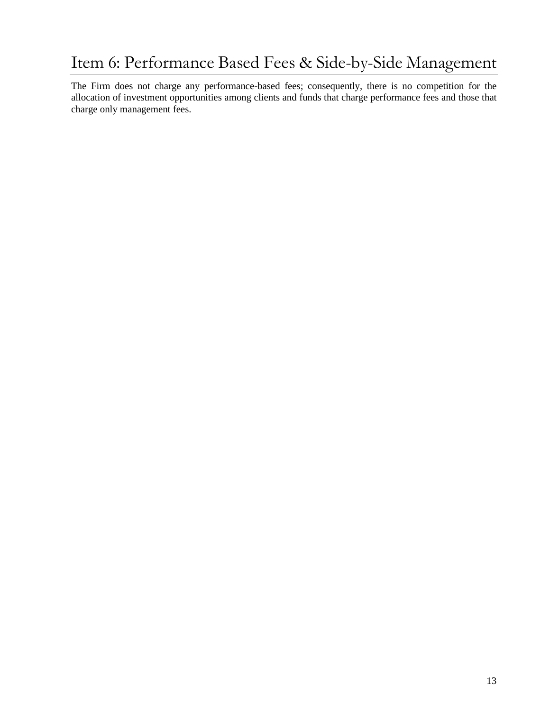# <span id="page-14-0"></span>Item 6: Performance Based Fees & Side-by-Side Management

The Firm does not charge any performance-based fees; consequently, there is no competition for the allocation of investment opportunities among clients and funds that charge performance fees and those that charge only management fees.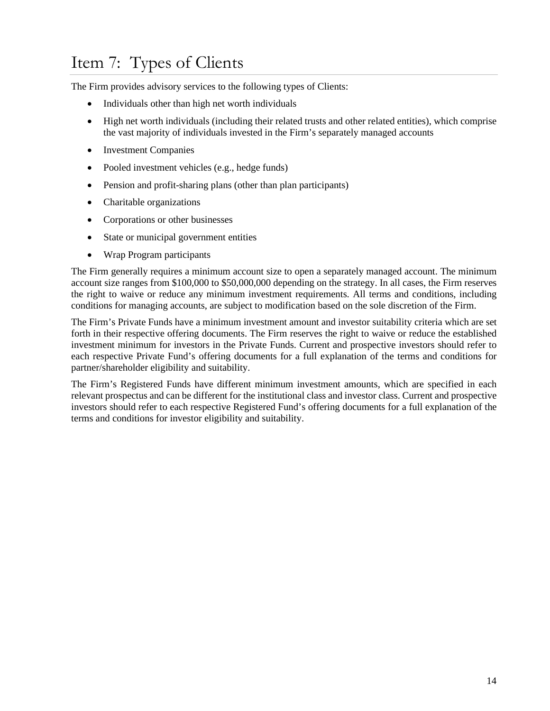# <span id="page-15-0"></span>Item 7: Types of Clients

The Firm provides advisory services to the following types of Clients:

- Individuals other than high net worth individuals
- High net worth individuals (including their related trusts and other related entities), which comprise the vast majority of individuals invested in the Firm's separately managed accounts
- Investment Companies
- Pooled investment vehicles (e.g., hedge funds)
- Pension and profit-sharing plans (other than plan participants)
- Charitable organizations
- Corporations or other businesses
- State or municipal government entities
- Wrap Program participants

The Firm generally requires a minimum account size to open a separately managed account. The minimum account size ranges from \$100,000 to \$50,000,000 depending on the strategy. In all cases, the Firm reserves the right to waive or reduce any minimum investment requirements. All terms and conditions, including conditions for managing accounts, are subject to modification based on the sole discretion of the Firm.

The Firm's Private Funds have a minimum investment amount and investor suitability criteria which are set forth in their respective offering documents. The Firm reserves the right to waive or reduce the established investment minimum for investors in the Private Funds. Current and prospective investors should refer to each respective Private Fund's offering documents for a full explanation of the terms and conditions for partner/shareholder eligibility and suitability.

The Firm's Registered Funds have different minimum investment amounts, which are specified in each relevant prospectus and can be different for the institutional class and investor class. Current and prospective investors should refer to each respective Registered Fund's offering documents for a full explanation of the terms and conditions for investor eligibility and suitability.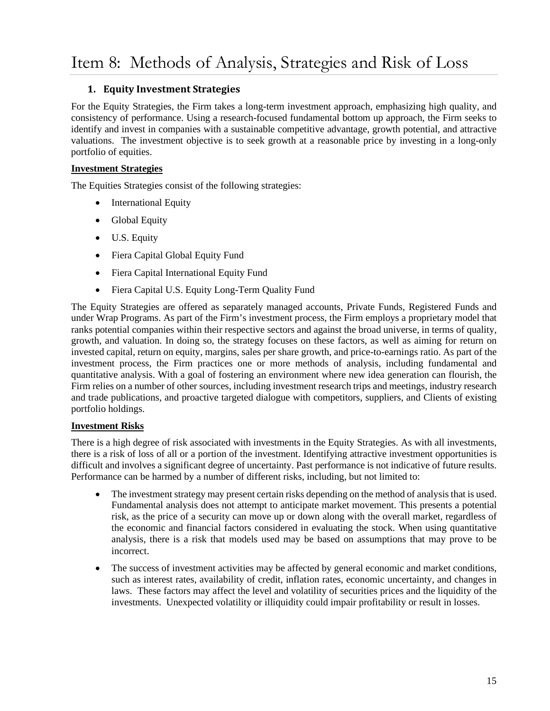# <span id="page-16-0"></span>**1. Equity Investment Strategies**

For the Equity Strategies, the Firm takes a long-term investment approach, emphasizing high quality, and consistency of performance. Using a research-focused fundamental bottom up approach, the Firm seeks to identify and invest in companies with a sustainable competitive advantage, growth potential, and attractive valuations. The investment objective is to seek growth at a reasonable price by investing in a long-only portfolio of equities.

## **Investment Strategies**

The Equities Strategies consist of the following strategies:

- International Equity
- Global Equity
- U.S. Equity
- Fiera Capital Global Equity Fund
- Fiera Capital International Equity Fund
- Fiera Capital U.S. Equity Long-Term Quality Fund

The Equity Strategies are offered as separately managed accounts, Private Funds, Registered Funds and under Wrap Programs. As part of the Firm's investment process, the Firm employs a proprietary model that ranks potential companies within their respective sectors and against the broad universe, in terms of quality, growth, and valuation. In doing so, the strategy focuses on these factors, as well as aiming for return on invested capital, return on equity, margins, sales per share growth, and price-to-earnings ratio. As part of the investment process, the Firm practices one or more methods of analysis, including fundamental and quantitative analysis. With a goal of fostering an environment where new idea generation can flourish, the Firm relies on a number of other sources, including investment research trips and meetings, industry research and trade publications, and proactive targeted dialogue with competitors, suppliers, and Clients of existing portfolio holdings.

## **Investment Risks**

There is a high degree of risk associated with investments in the Equity Strategies. As with all investments, there is a risk of loss of all or a portion of the investment. Identifying attractive investment opportunities is difficult and involves a significant degree of uncertainty. Past performance is not indicative of future results. Performance can be harmed by a number of different risks, including, but not limited to:

- The investment strategy may present certain risks depending on the method of analysis that is used. Fundamental analysis does not attempt to anticipate market movement. This presents a potential risk, as the price of a security can move up or down along with the overall market, regardless of the economic and financial factors considered in evaluating the stock. When using quantitative analysis, there is a risk that models used may be based on assumptions that may prove to be incorrect.
- The success of investment activities may be affected by general economic and market conditions, such as interest rates, availability of credit, inflation rates, economic uncertainty, and changes in laws. These factors may affect the level and volatility of securities prices and the liquidity of the investments. Unexpected volatility or illiquidity could impair profitability or result in losses.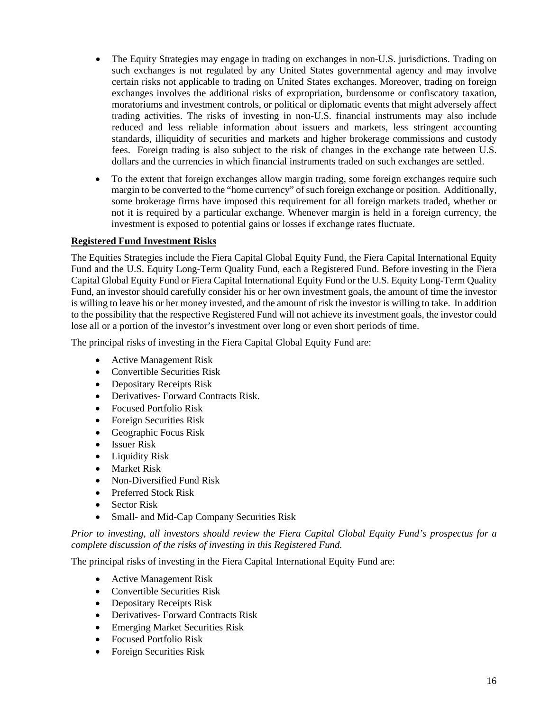- The Equity Strategies may engage in trading on exchanges in non-U.S. jurisdictions. Trading on such exchanges is not regulated by any United States governmental agency and may involve certain risks not applicable to trading on United States exchanges. Moreover, trading on foreign exchanges involves the additional risks of expropriation, burdensome or confiscatory taxation, moratoriums and investment controls, or political or diplomatic events that might adversely affect trading activities. The risks of investing in non-U.S. financial instruments may also include reduced and less reliable information about issuers and markets, less stringent accounting standards, illiquidity of securities and markets and higher brokerage commissions and custody fees. Foreign trading is also subject to the risk of changes in the exchange rate between U.S. dollars and the currencies in which financial instruments traded on such exchanges are settled.
- To the extent that foreign exchanges allow margin trading, some foreign exchanges require such margin to be converted to the "home currency" of such foreign exchange or position. Additionally, some brokerage firms have imposed this requirement for all foreign markets traded, whether or not it is required by a particular exchange. Whenever margin is held in a foreign currency, the investment is exposed to potential gains or losses if exchange rates fluctuate.

### **Registered Fund Investment Risks**

The Equities Strategies include the Fiera Capital Global Equity Fund, the Fiera Capital International Equity Fund and the U.S. Equity Long-Term Quality Fund, each a Registered Fund. Before investing in the Fiera Capital Global Equity Fund or Fiera Capital International Equity Fund or the U.S. Equity Long-Term Quality Fund, an investor should carefully consider his or her own investment goals, the amount of time the investor is willing to leave his or her money invested, and the amount of risk the investor is willing to take. In addition to the possibility that the respective Registered Fund will not achieve its investment goals, the investor could lose all or a portion of the investor's investment over long or even short periods of time.

The principal risks of investing in the Fiera Capital Global Equity Fund are:

- Active Management Risk
- Convertible Securities Risk
- Depositary Receipts Risk
- Derivatives- Forward Contracts Risk.
- Focused Portfolio Risk
- Foreign Securities Risk
- Geographic Focus Risk
- Issuer Risk
- Liquidity Risk
- Market Risk
- Non-Diversified Fund Risk
- Preferred Stock Risk
- Sector Risk
- Small- and Mid-Cap Company Securities Risk

*Prior to investing, all investors should review the Fiera Capital Global Equity Fund's prospectus for a complete discussion of the risks of investing in this Registered Fund.*

The principal risks of investing in the Fiera Capital International Equity Fund are:

- Active Management Risk
- Convertible Securities Risk
- Depositary Receipts Risk
- Derivatives- Forward Contracts Risk
- Emerging Market Securities Risk
- Focused Portfolio Risk
- Foreign Securities Risk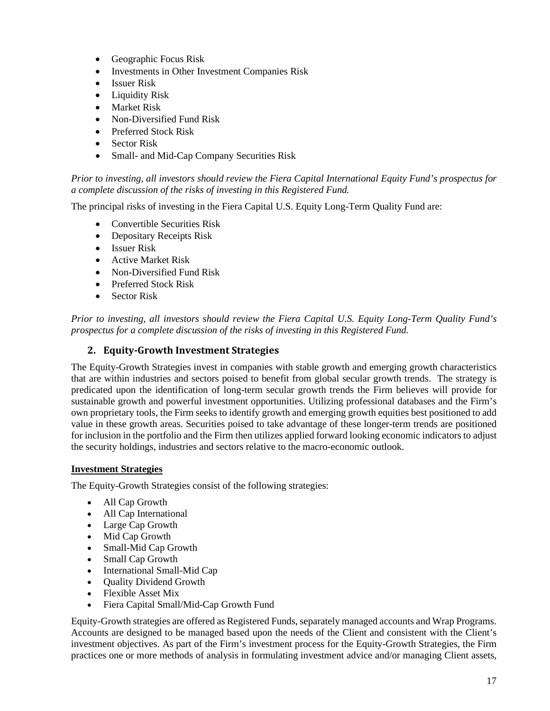- Geographic Focus Risk
- Investments in Other Investment Companies Risk
- Issuer Risk
- Liquidity Risk
- Market Risk
- Non-Diversified Fund Risk
- Preferred Stock Risk
- Sector Risk
- Small- and Mid-Cap Company Securities Risk

*Prior to investing, all investors should review the Fiera Capital International Equity Fund's prospectus for a complete discussion of the risks of investing in this Registered Fund.*

The principal risks of investing in the Fiera Capital U.S. Equity Long-Term Quality Fund are:

- Convertible Securities Risk
- Depositary Receipts Risk
- Issuer Risk
- Active Market Risk
- Non-Diversified Fund Risk
- Preferred Stock Risk
- Sector Risk

*Prior to investing, all investors should review the Fiera Capital U.S. Equity Long-Term Quality Fund's prospectus for a complete discussion of the risks of investing in this Registered Fund.*

## **2. Equity-Growth Investment Strategies**

The Equity-Growth Strategies invest in companies with stable growth and emerging growth characteristics that are within industries and sectors poised to benefit from global secular growth trends. The strategy is predicated upon the identification of long-term secular growth trends the Firm believes will provide for sustainable growth and powerful investment opportunities. Utilizing professional databases and the Firm's own proprietary tools, the Firm seeks to identify growth and emerging growth equities best positioned to add value in these growth areas. Securities poised to take advantage of these longer-term trends are positioned for inclusion in the portfolio and the Firm then utilizes applied forward looking economic indicators to adjust the security holdings, industries and sectors relative to the macro-economic outlook.

## **Investment Strategies**

The Equity-Growth Strategies consist of the following strategies:

- All Cap Growth
- All Cap International
- Large Cap Growth
- Mid Cap Growth
- Small-Mid Cap Growth
- Small Cap Growth
- International Small-Mid Cap
- Quality Dividend Growth
- Flexible Asset Mix
- Fiera Capital Small/Mid-Cap Growth Fund

Equity-Growth strategies are offered as Registered Funds, separately managed accounts and Wrap Programs. Accounts are designed to be managed based upon the needs of the Client and consistent with the Client's investment objectives. As part of the Firm's investment process for the Equity-Growth Strategies, the Firm practices one or more methods of analysis in formulating investment advice and/or managing Client assets,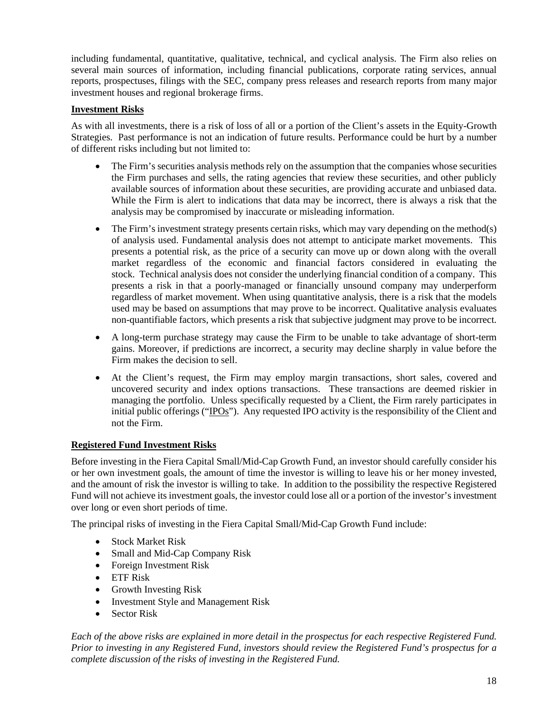including fundamental, quantitative, qualitative, technical, and cyclical analysis. The Firm also relies on several main sources of information, including financial publications, corporate rating services, annual reports, prospectuses, filings with the SEC, company press releases and research reports from many major investment houses and regional brokerage firms.

## **Investment Risks**

As with all investments, there is a risk of loss of all or a portion of the Client's assets in the Equity-Growth Strategies. Past performance is not an indication of future results. Performance could be hurt by a number of different risks including but not limited to:

- The Firm's securities analysis methods rely on the assumption that the companies whose securities the Firm purchases and sells, the rating agencies that review these securities, and other publicly available sources of information about these securities, are providing accurate and unbiased data. While the Firm is alert to indications that data may be incorrect, there is always a risk that the analysis may be compromised by inaccurate or misleading information.
- The Firm's investment strategy presents certain risks, which may vary depending on the method(s) of analysis used. Fundamental analysis does not attempt to anticipate market movements. This presents a potential risk, as the price of a security can move up or down along with the overall market regardless of the economic and financial factors considered in evaluating the stock. Technical analysis does not consider the underlying financial condition of a company. This presents a risk in that a poorly-managed or financially unsound company may underperform regardless of market movement. When using quantitative analysis, there is a risk that the models used may be based on assumptions that may prove to be incorrect. Qualitative analysis evaluates non-quantifiable factors, which presents a risk that subjective judgment may prove to be incorrect.
- A long-term purchase strategy may cause the Firm to be unable to take advantage of short-term gains. Moreover, if predictions are incorrect, a security may decline sharply in value before the Firm makes the decision to sell.
- At the Client's request, the Firm may employ margin transactions, short sales, covered and uncovered security and index options transactions. These transactions are deemed riskier in managing the portfolio. Unless specifically requested by a Client, the Firm rarely participates in initial public offerings ("IPOs"). Any requested IPO activity is the responsibility of the Client and not the Firm.

#### **Registered Fund Investment Risks**

Before investing in the Fiera Capital Small/Mid-Cap Growth Fund, an investor should carefully consider his or her own investment goals, the amount of time the investor is willing to leave his or her money invested, and the amount of risk the investor is willing to take. In addition to the possibility the respective Registered Fund will not achieve its investment goals, the investor could lose all or a portion of the investor's investment over long or even short periods of time.

The principal risks of investing in the Fiera Capital Small/Mid-Cap Growth Fund include:

- Stock Market Risk
- Small and Mid-Cap Company Risk
- Foreign Investment Risk
- ETF Risk
- Growth Investing Risk
- Investment Style and Management Risk
- Sector Risk

*Each of the above risks are explained in more detail in the prospectus for each respective Registered Fund. Prior to investing in any Registered Fund, investors should review the Registered Fund's prospectus for a complete discussion of the risks of investing in the Registered Fund.*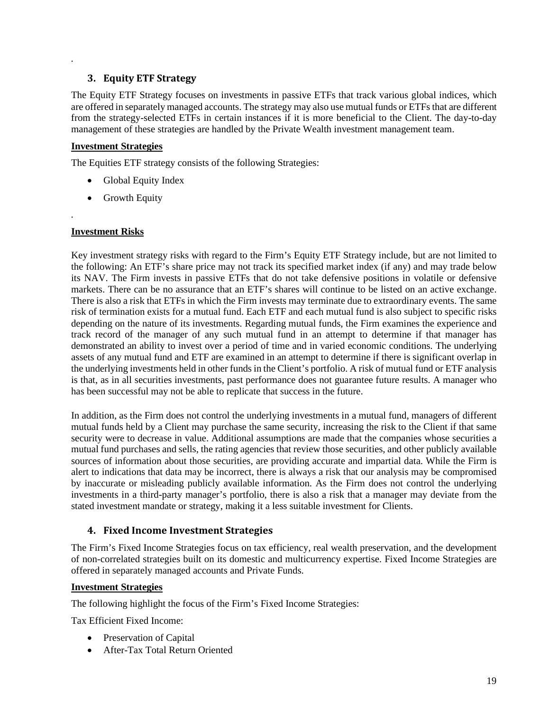## **3. Equity ETF Strategy**

The Equity ETF Strategy focuses on investments in passive ETFs that track various global indices, which are offered in separately managed accounts. The strategy may also use mutual funds or ETFs that are different from the strategy-selected ETFs in certain instances if it is more beneficial to the Client. The day-to-day management of these strategies are handled by the Private Wealth investment management team.

#### **Investment Strategies**

*.*

*.*

The Equities ETF strategy consists of the following Strategies:

- Global Equity Index
- Growth Equity

#### **Investment Risks**

Key investment strategy risks with regard to the Firm's Equity ETF Strategy include, but are not limited to the following: An ETF's share price may not track its specified market index (if any) and may trade below its NAV. The Firm invests in passive ETFs that do not take defensive positions in volatile or defensive markets. There can be no assurance that an ETF's shares will continue to be listed on an active exchange. There is also a risk that ETFs in which the Firm invests may terminate due to extraordinary events. The same risk of termination exists for a mutual fund. Each ETF and each mutual fund is also subject to specific risks depending on the nature of its investments. Regarding mutual funds, the Firm examines the experience and track record of the manager of any such mutual fund in an attempt to determine if that manager has demonstrated an ability to invest over a period of time and in varied economic conditions. The underlying assets of any mutual fund and ETF are examined in an attempt to determine if there is significant overlap in the underlying investments held in other funds in the Client's portfolio. A risk of mutual fund or ETF analysis is that, as in all securities investments, past performance does not guarantee future results. A manager who has been successful may not be able to replicate that success in the future.

In addition, as the Firm does not control the underlying investments in a mutual fund, managers of different mutual funds held by a Client may purchase the same security, increasing the risk to the Client if that same security were to decrease in value. Additional assumptions are made that the companies whose securities a mutual fund purchases and sells, the rating agencies that review those securities, and other publicly available sources of information about those securities, are providing accurate and impartial data. While the Firm is alert to indications that data may be incorrect, there is always a risk that our analysis may be compromised by inaccurate or misleading publicly available information. As the Firm does not control the underlying investments in a third-party manager's portfolio, there is also a risk that a manager may deviate from the stated investment mandate or strategy, making it a less suitable investment for Clients.

## **4. Fixed Income Investment Strategies**

The Firm's Fixed Income Strategies focus on tax efficiency, real wealth preservation, and the development of non-correlated strategies built on its domestic and multicurrency expertise. Fixed Income Strategies are offered in separately managed accounts and Private Funds.

#### **Investment Strategies**

The following highlight the focus of the Firm's Fixed Income Strategies:

Tax Efficient Fixed Income:

- Preservation of Capital
- After-Tax Total Return Oriented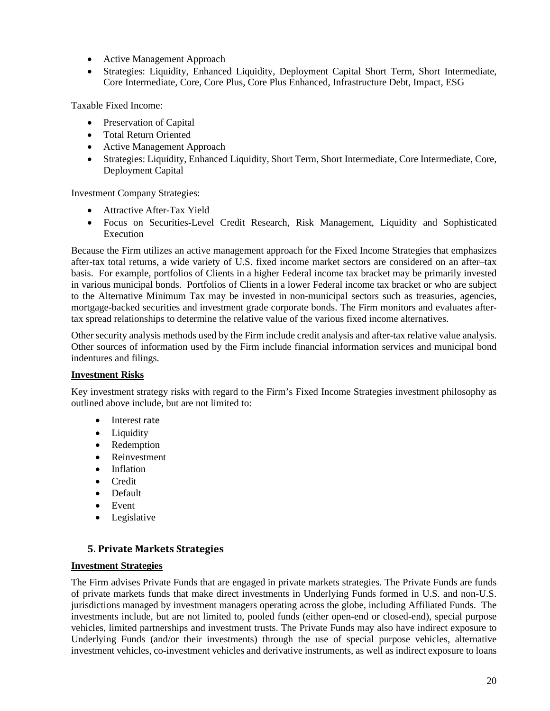- Active Management Approach
- Strategies: Liquidity, Enhanced Liquidity, Deployment Capital Short Term, Short Intermediate, Core Intermediate, Core, Core Plus, Core Plus Enhanced, Infrastructure Debt, Impact, ESG

Taxable Fixed Income:

- Preservation of Capital
- Total Return Oriented
- Active Management Approach
- Strategies: Liquidity, Enhanced Liquidity, Short Term, Short Intermediate, Core Intermediate, Core, Deployment Capital

Investment Company Strategies:

- Attractive After-Tax Yield
- Focus on Securities-Level Credit Research, Risk Management, Liquidity and Sophisticated Execution

Because the Firm utilizes an active management approach for the Fixed Income Strategies that emphasizes after-tax total returns, a wide variety of U.S. fixed income market sectors are considered on an after–tax basis. For example, portfolios of Clients in a higher Federal income tax bracket may be primarily invested in various municipal bonds. Portfolios of Clients in a lower Federal income tax bracket or who are subject to the Alternative Minimum Tax may be invested in non-municipal sectors such as treasuries, agencies, mortgage-backed securities and investment grade corporate bonds. The Firm monitors and evaluates aftertax spread relationships to determine the relative value of the various fixed income alternatives.

Other security analysis methods used by the Firm include credit analysis and after-tax relative value analysis. Other sources of information used by the Firm include financial information services and municipal bond indentures and filings.

#### **Investment Risks**

Key investment strategy risks with regard to the Firm's Fixed Income Strategies investment philosophy as outlined above include, but are not limited to:

- Interest rate
- Liquidity
- Redemption
- Reinvestment
- Inflation
- Credit
- Default
- Event
- Legislative

## **5. Private Markets Strategies**

#### **Investment Strategies**

The Firm advises Private Funds that are engaged in private markets strategies. The Private Funds are funds of private markets funds that make direct investments in Underlying Funds formed in U.S. and non-U.S. jurisdictions managed by investment managers operating across the globe, including Affiliated Funds. The investments include, but are not limited to, pooled funds (either open-end or closed-end), special purpose vehicles, limited partnerships and investment trusts. The Private Funds may also have indirect exposure to Underlying Funds (and/or their investments) through the use of special purpose vehicles, alternative investment vehicles, co-investment vehicles and derivative instruments, as well as indirect exposure to loans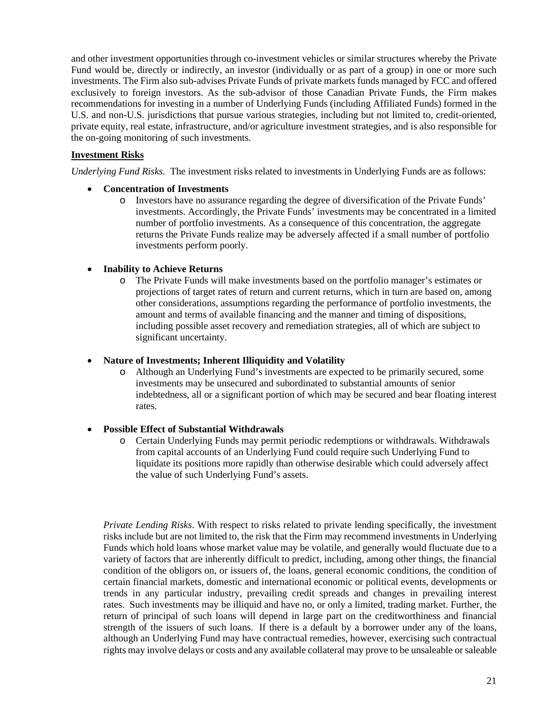and other investment opportunities through co-investment vehicles or similar structures whereby the Private Fund would be, directly or indirectly, an investor (individually or as part of a group) in one or more such investments. The Firm also sub-advises Private Funds of private markets funds managed by FCC and offered exclusively to foreign investors. As the sub-advisor of those Canadian Private Funds, the Firm makes recommendations for investing in a number of Underlying Funds (including Affiliated Funds) formed in the U.S. and non-U.S. jurisdictions that pursue various strategies, including but not limited to, credit-oriented, private equity, real estate, infrastructure, and/or agriculture investment strategies, and is also responsible for the on-going monitoring of such investments.

### **Investment Risks**

*Underlying Fund Risks*. The investment risks related to investments in Underlying Funds are as follows:

#### • **Concentration of Investments**

o Investors have no assurance regarding the degree of diversification of the Private Funds' investments. Accordingly, the Private Funds' investments may be concentrated in a limited number of portfolio investments. As a consequence of this concentration, the aggregate returns the Private Funds realize may be adversely affected if a small number of portfolio investments perform poorly.

#### • **Inability to Achieve Returns**

o The Private Funds will make investments based on the portfolio manager's estimates or projections of target rates of return and current returns, which in turn are based on, among other considerations, assumptions regarding the performance of portfolio investments, the amount and terms of available financing and the manner and timing of dispositions, including possible asset recovery and remediation strategies, all of which are subject to significant uncertainty.

### • **Nature of Investments; Inherent Illiquidity and Volatility**

o Although an Underlying Fund's investments are expected to be primarily secured, some investments may be unsecured and subordinated to substantial amounts of senior indebtedness, all or a significant portion of which may be secured and bear floating interest rates.

## • **Possible Effect of Substantial Withdrawals**

o Certain Underlying Funds may permit periodic redemptions or withdrawals. Withdrawals from capital accounts of an Underlying Fund could require such Underlying Fund to liquidate its positions more rapidly than otherwise desirable which could adversely affect the value of such Underlying Fund's assets.

*Private Lending Risks*. With respect to risks related to private lending specifically, the investment risks include but are not limited to, the risk that the Firm may recommend investments in Underlying Funds which hold loans whose market value may be volatile, and generally would fluctuate due to a variety of factors that are inherently difficult to predict, including, among other things, the financial condition of the obligors on, or issuers of, the loans, general economic conditions, the condition of certain financial markets, domestic and international economic or political events, developments or trends in any particular industry, prevailing credit spreads and changes in prevailing interest rates. Such investments may be illiquid and have no, or only a limited, trading market. Further, the return of principal of such loans will depend in large part on the creditworthiness and financial strength of the issuers of such loans. If there is a default by a borrower under any of the loans, although an Underlying Fund may have contractual remedies, however, exercising such contractual rights may involve delays or costs and any available collateral may prove to be unsaleable or saleable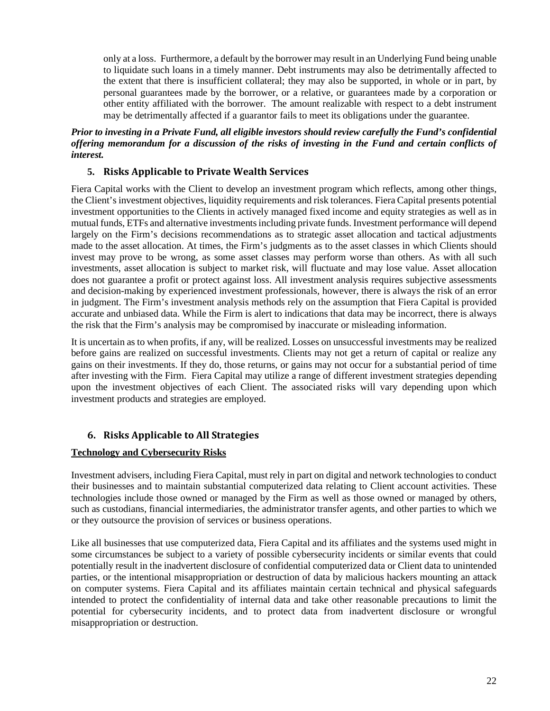only at a loss. Furthermore, a default by the borrower may result in an Underlying Fund being unable to liquidate such loans in a timely manner. Debt instruments may also be detrimentally affected to the extent that there is insufficient collateral; they may also be supported, in whole or in part, by personal guarantees made by the borrower, or a relative, or guarantees made by a corporation or other entity affiliated with the borrower. The amount realizable with respect to a debt instrument may be detrimentally affected if a guarantor fails to meet its obligations under the guarantee.

### *Prior to investing in a Private Fund, all eligible investors should review carefully the Fund's confidential offering memorandum for a discussion of the risks of investing in the Fund and certain conflicts of interest.*

# **5. Risks Applicable to Private Wealth Services**

Fiera Capital works with the Client to develop an investment program which reflects, among other things, the Client's investment objectives, liquidity requirements and risk tolerances. Fiera Capital presents potential investment opportunities to the Clients in actively managed fixed income and equity strategies as well as in mutual funds, ETFs and alternative investments including private funds. Investment performance will depend largely on the Firm's decisions recommendations as to strategic asset allocation and tactical adjustments made to the asset allocation. At times, the Firm's judgments as to the asset classes in which Clients should invest may prove to be wrong, as some asset classes may perform worse than others. As with all such investments, asset allocation is subject to market risk, will fluctuate and may lose value. Asset allocation does not guarantee a profit or protect against loss. All investment analysis requires subjective assessments and decision-making by experienced investment professionals, however, there is always the risk of an error in judgment. The Firm's investment analysis methods rely on the assumption that Fiera Capital is provided accurate and unbiased data. While the Firm is alert to indications that data may be incorrect, there is always the risk that the Firm's analysis may be compromised by inaccurate or misleading information.

It is uncertain as to when profits, if any, will be realized. Losses on unsuccessful investments may be realized before gains are realized on successful investments. Clients may not get a return of capital or realize any gains on their investments. If they do, those returns, or gains may not occur for a substantial period of time after investing with the Firm. Fiera Capital may utilize a range of different investment strategies depending upon the investment objectives of each Client. The associated risks will vary depending upon which investment products and strategies are employed.

# **6. Risks Applicable to All Strategies**

## **Technology and Cybersecurity Risks**

Investment advisers, including Fiera Capital, must rely in part on digital and network technologies to conduct their businesses and to maintain substantial computerized data relating to Client account activities. These technologies include those owned or managed by the Firm as well as those owned or managed by others, such as custodians, financial intermediaries, the administrator transfer agents, and other parties to which we or they outsource the provision of services or business operations.

Like all businesses that use computerized data, Fiera Capital and its affiliates and the systems used might in some circumstances be subject to a variety of possible cybersecurity incidents or similar events that could potentially result in the inadvertent disclosure of confidential computerized data or Client data to unintended parties, or the intentional misappropriation or destruction of data by malicious hackers mounting an attack on computer systems. Fiera Capital and its affiliates maintain certain technical and physical safeguards intended to protect the confidentiality of internal data and take other reasonable precautions to limit the potential for cybersecurity incidents, and to protect data from inadvertent disclosure or wrongful misappropriation or destruction.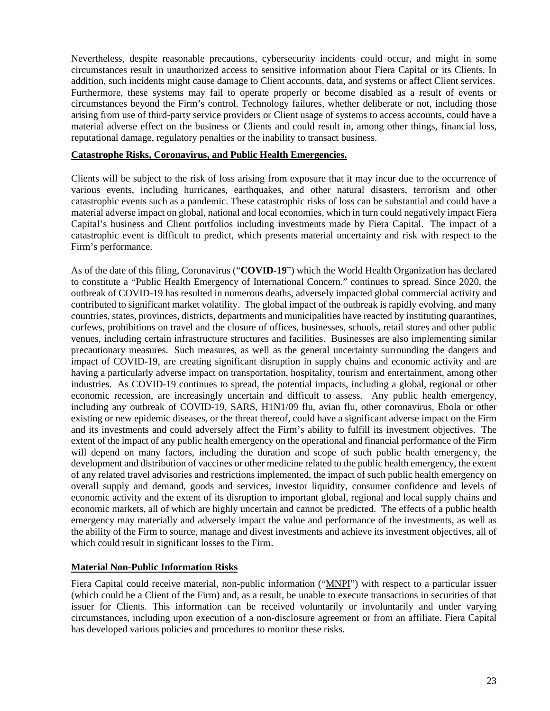Nevertheless, despite reasonable precautions, cybersecurity incidents could occur, and might in some circumstances result in unauthorized access to sensitive information about Fiera Capital or its Clients. In addition, such incidents might cause damage to Client accounts, data, and systems or affect Client services. Furthermore, these systems may fail to operate properly or become disabled as a result of events or circumstances beyond the Firm's control. Technology failures, whether deliberate or not, including those arising from use of third-party service providers or Client usage of systems to access accounts, could have a material adverse effect on the business or Clients and could result in, among other things, financial loss, reputational damage, regulatory penalties or the inability to transact business.

#### **Catastrophe Risks, Coronavirus, and Public Health Emergencies.**

Clients will be subject to the risk of loss arising from exposure that it may incur due to the occurrence of various events, including hurricanes, earthquakes, and other natural disasters, terrorism and other catastrophic events such as a pandemic. These catastrophic risks of loss can be substantial and could have a material adverse impact on global, national and local economies, which in turn could negatively impact Fiera Capital's business and Client portfolios including investments made by Fiera Capital. The impact of a catastrophic event is difficult to predict, which presents material uncertainty and risk with respect to the Firm's performance.

As of the date of this filing, Coronavirus ("**COVID-19**") which the World Health Organization has declared to constitute a "Public Health Emergency of International Concern." continues to spread. Since 2020, the outbreak of COVID-19 has resulted in numerous deaths, adversely impacted global commercial activity and contributed to significant market volatility. The global impact of the outbreak is rapidly evolving, and many countries, states, provinces, districts, departments and municipalities have reacted by instituting quarantines, curfews, prohibitions on travel and the closure of offices, businesses, schools, retail stores and other public venues, including certain infrastructure structures and facilities. Businesses are also implementing similar precautionary measures. Such measures, as well as the general uncertainty surrounding the dangers and impact of COVID-19, are creating significant disruption in supply chains and economic activity and are having a particularly adverse impact on transportation, hospitality, tourism and entertainment, among other industries. As COVID-19 continues to spread, the potential impacts, including a global, regional or other economic recession, are increasingly uncertain and difficult to assess. Any public health emergency, including any outbreak of COVID-19, SARS, H1N1/09 flu, avian flu, other coronavirus, Ebola or other existing or new epidemic diseases, or the threat thereof, could have a significant adverse impact on the Firm and its investments and could adversely affect the Firm's ability to fulfill its investment objectives. The extent of the impact of any public health emergency on the operational and financial performance of the Firm will depend on many factors, including the duration and scope of such public health emergency, the development and distribution of vaccines or other medicine related to the public health emergency, the extent of any related travel advisories and restrictions implemented, the impact of such public health emergency on overall supply and demand, goods and services, investor liquidity, consumer confidence and levels of economic activity and the extent of its disruption to important global, regional and local supply chains and economic markets, all of which are highly uncertain and cannot be predicted. The effects of a public health emergency may materially and adversely impact the value and performance of the investments, as well as the ability of the Firm to source, manage and divest investments and achieve its investment objectives, all of which could result in significant losses to the Firm.

## **Material Non-Public Information Risks**

Fiera Capital could receive material, non-public information ("MNPI") with respect to a particular issuer (which could be a Client of the Firm) and, as a result, be unable to execute transactions in securities of that issuer for Clients. This information can be received voluntarily or involuntarily and under varying circumstances, including upon execution of a non-disclosure agreement or from an affiliate. Fiera Capital has developed various policies and procedures to monitor these risks.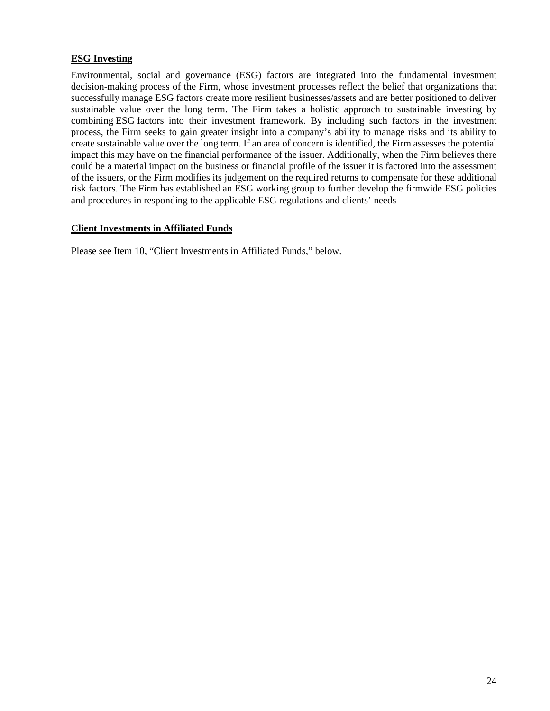### **ESG Investing**

Environmental, social and governance (ESG) factors are integrated into the fundamental investment decision-making process of the Firm, whose investment processes reflect the belief that organizations that successfully manage ESG factors create more resilient businesses/assets and are better positioned to deliver sustainable value over the long term. The Firm takes a holistic approach to sustainable investing by combining ESG factors into their investment framework. By including such factors in the investment process, the Firm seeks to gain greater insight into a company's ability to manage risks and its ability to create sustainable value over the long term. If an area of concern is identified, the Firm assesses the potential impact this may have on the financial performance of the issuer. Additionally, when the Firm believes there could be a material impact on the business or financial profile of the issuer it is factored into the assessment of the issuers, or the Firm modifies its judgement on the required returns to compensate for these additional risk factors. The Firm has established an ESG working group to further develop the firmwide ESG policies and procedures in responding to the applicable ESG regulations and clients' needs

#### **Client Investments in Affiliated Funds**

Please see Item 10, "Client Investments in Affiliated Funds," below.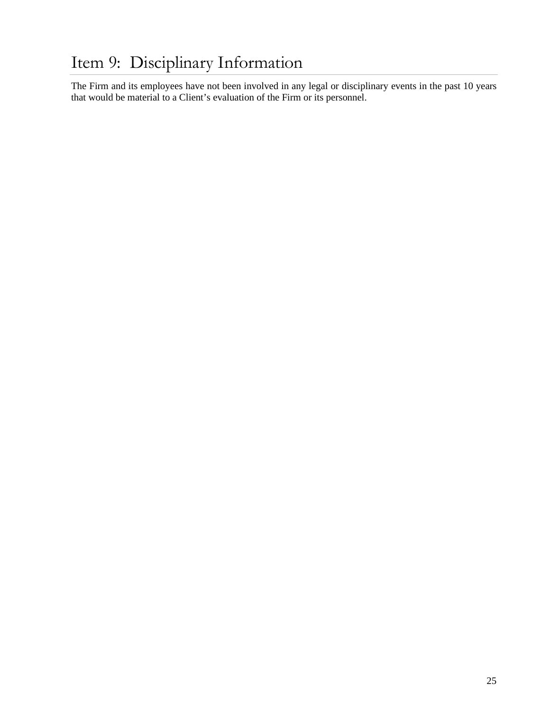# <span id="page-26-0"></span>Item 9: Disciplinary Information

The Firm and its employees have not been involved in any legal or disciplinary events in the past 10 years that would be material to a Client's evaluation of the Firm or its personnel.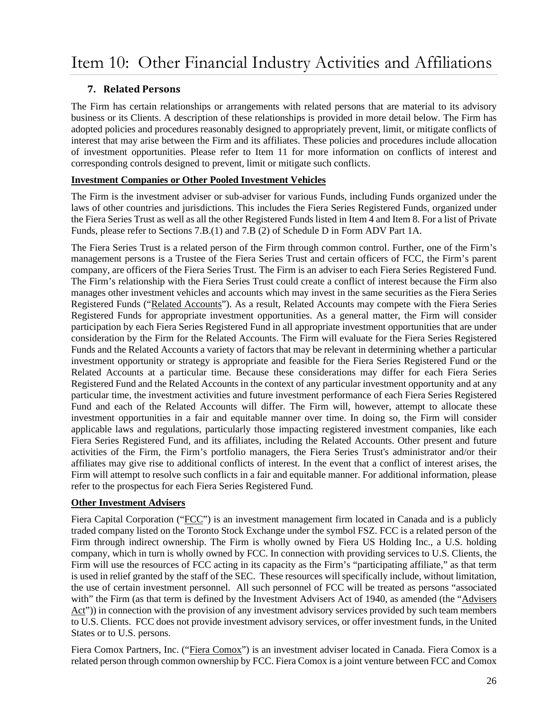# <span id="page-27-0"></span>**7. Related Persons**

The Firm has certain relationships or arrangements with related persons that are material to its advisory business or its Clients. A description of these relationships is provided in more detail below. The Firm has adopted policies and procedures reasonably designed to appropriately prevent, limit, or mitigate conflicts of interest that may arise between the Firm and its affiliates. These policies and procedures include allocation of investment opportunities. Please refer to Item 11 for more information on conflicts of interest and corresponding controls designed to prevent, limit or mitigate such conflicts.

# **Investment Companies or Other Pooled Investment Vehicles**

The Firm is the investment adviser or sub-adviser for various Funds, including Funds organized under the laws of other countries and jurisdictions. This includes the Fiera Series Registered Funds, organized under the Fiera Series Trust as well as all the other Registered Funds listed in Item 4 and Item 8. For a list of Private Funds, please refer to Sections 7.B.(1) and 7.B (2) of Schedule D in Form ADV Part 1A.

The Fiera Series Trust is a related person of the Firm through common control. Further, one of the Firm's management persons is a Trustee of the Fiera Series Trust and certain officers of FCC, the Firm's parent company, are officers of the Fiera Series Trust. The Firm is an adviser to each Fiera Series Registered Fund. The Firm's relationship with the Fiera Series Trust could create a conflict of interest because the Firm also manages other investment vehicles and accounts which may invest in the same securities as the Fiera Series Registered Funds ("Related Accounts"). As a result, Related Accounts may compete with the Fiera Series Registered Funds for appropriate investment opportunities. As a general matter, the Firm will consider participation by each Fiera Series Registered Fund in all appropriate investment opportunities that are under consideration by the Firm for the Related Accounts. The Firm will evaluate for the Fiera Series Registered Funds and the Related Accounts a variety of factors that may be relevant in determining whether a particular investment opportunity or strategy is appropriate and feasible for the Fiera Series Registered Fund or the Related Accounts at a particular time. Because these considerations may differ for each Fiera Series Registered Fund and the Related Accounts in the context of any particular investment opportunity and at any particular time, the investment activities and future investment performance of each Fiera Series Registered Fund and each of the Related Accounts will differ. The Firm will, however, attempt to allocate these investment opportunities in a fair and equitable manner over time. In doing so, the Firm will consider applicable laws and regulations, particularly those impacting registered investment companies, like each Fiera Series Registered Fund, and its affiliates, including the Related Accounts. Other present and future activities of the Firm, the Firm's portfolio managers, the Fiera Series Trust's administrator and/or their affiliates may give rise to additional conflicts of interest. In the event that a conflict of interest arises, the Firm will attempt to resolve such conflicts in a fair and equitable manner. For additional information, please refer to the prospectus for each Fiera Series Registered Fund.

# **Other Investment Advisers**

Fiera Capital Corporation ("FCC") is an investment management firm located in Canada and is a publicly traded company listed on the Toronto Stock Exchange under the symbol FSZ. FCC is a related person of the Firm through indirect ownership. The Firm is wholly owned by Fiera US Holding Inc., a U.S. holding company, which in turn is wholly owned by FCC. In connection with providing services to U.S. Clients, the Firm will use the resources of FCC acting in its capacity as the Firm's "participating affiliate," as that term is used in relief granted by the staff of the SEC. These resources will specifically include, without limitation, the use of certain investment personnel. All such personnel of FCC will be treated as persons "associated with" the Firm (as that term is defined by the Investment Advisers Act of 1940, as amended (the "Advisers Act")) in connection with the provision of any investment advisory services provided by such team members to U.S. Clients. FCC does not provide investment advisory services, or offer investment funds, in the United States or to U.S. persons.

Fiera Comox Partners, Inc. ("Fiera Comox") is an investment adviser located in Canada. Fiera Comox is a related person through common ownership by FCC. Fiera Comox is a joint venture between FCC and Comox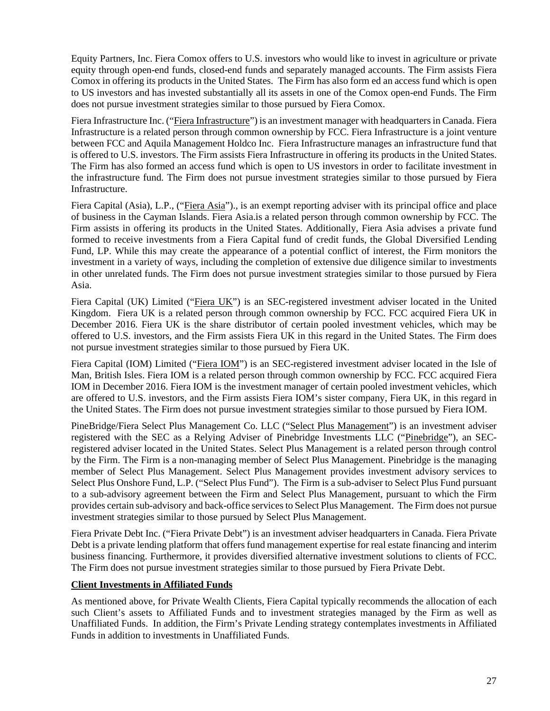Equity Partners, Inc. Fiera Comox offers to U.S. investors who would like to invest in agriculture or private equity through open-end funds, closed-end funds and separately managed accounts. The Firm assists Fiera Comox in offering its products in the United States. The Firm has also form ed an access fund which is open to US investors and has invested substantially all its assets in one of the Comox open-end Funds. The Firm does not pursue investment strategies similar to those pursued by Fiera Comox.

Fiera Infrastructure Inc. ("Fiera Infrastructure") is an investment manager with headquarters in Canada. Fiera Infrastructure is a related person through common ownership by FCC. Fiera Infrastructure is a joint venture between FCC and Aquila Management Holdco Inc. Fiera Infrastructure manages an infrastructure fund that is offered to U.S. investors. The Firm assists Fiera Infrastructure in offering its products in the United States. The Firm has also formed an access fund which is open to US investors in order to facilitate investment in the infrastructure fund. The Firm does not pursue investment strategies similar to those pursued by Fiera Infrastructure.

Fiera Capital (Asia), L.P., ("Fiera Asia")., is an exempt reporting adviser with its principal office and place of business in the Cayman Islands. Fiera Asia.is a related person through common ownership by FCC. The Firm assists in offering its products in the United States. Additionally, Fiera Asia advises a private fund formed to receive investments from a Fiera Capital fund of credit funds, the Global Diversified Lending Fund, LP. While this may create the appearance of a potential conflict of interest, the Firm monitors the investment in a variety of ways, including the completion of extensive due diligence similar to investments in other unrelated funds. The Firm does not pursue investment strategies similar to those pursued by Fiera Asia.

Fiera Capital (UK) Limited ("Fiera UK") is an SEC-registered investment adviser located in the United Kingdom. Fiera UK is a related person through common ownership by FCC. FCC acquired Fiera UK in December 2016. Fiera UK is the share distributor of certain pooled investment vehicles, which may be offered to U.S. investors, and the Firm assists Fiera UK in this regard in the United States. The Firm does not pursue investment strategies similar to those pursued by Fiera UK.

Fiera Capital (IOM) Limited ("Fiera IOM") is an SEC-registered investment adviser located in the Isle of Man, British Isles. Fiera IOM is a related person through common ownership by FCC. FCC acquired Fiera IOM in December 2016. Fiera IOM is the investment manager of certain pooled investment vehicles, which are offered to U.S. investors, and the Firm assists Fiera IOM's sister company, Fiera UK, in this regard in the United States. The Firm does not pursue investment strategies similar to those pursued by Fiera IOM.

PineBridge/Fiera Select Plus Management Co. LLC ("Select Plus Management") is an investment adviser registered with the SEC as a Relying Adviser of Pinebridge Investments LLC ("Pinebridge"), an SECregistered adviser located in the United States. Select Plus Management is a related person through control by the Firm. The Firm is a non-managing member of Select Plus Management. Pinebridge is the managing member of Select Plus Management. Select Plus Management provides investment advisory services to Select Plus Onshore Fund, L.P. ("Select Plus Fund"). The Firm is a sub-adviser to Select Plus Fund pursuant to a sub-advisory agreement between the Firm and Select Plus Management, pursuant to which the Firm provides certain sub-advisory and back-office services to Select Plus Management. The Firm does not pursue investment strategies similar to those pursued by Select Plus Management.

Fiera Private Debt Inc. ("Fiera Private Debt") is an investment adviser headquarters in Canada. Fiera Private Debt is a private lending platform that offers fund management expertise for real estate financing and interim business financing. Furthermore, it provides diversified alternative investment solutions to clients of FCC. The Firm does not pursue investment strategies similar to those pursued by Fiera Private Debt.

#### **Client Investments in Affiliated Funds**

As mentioned above, for Private Wealth Clients, Fiera Capital typically recommends the allocation of each such Client's assets to Affiliated Funds and to investment strategies managed by the Firm as well as Unaffiliated Funds. In addition, the Firm's Private Lending strategy contemplates investments in Affiliated Funds in addition to investments in Unaffiliated Funds.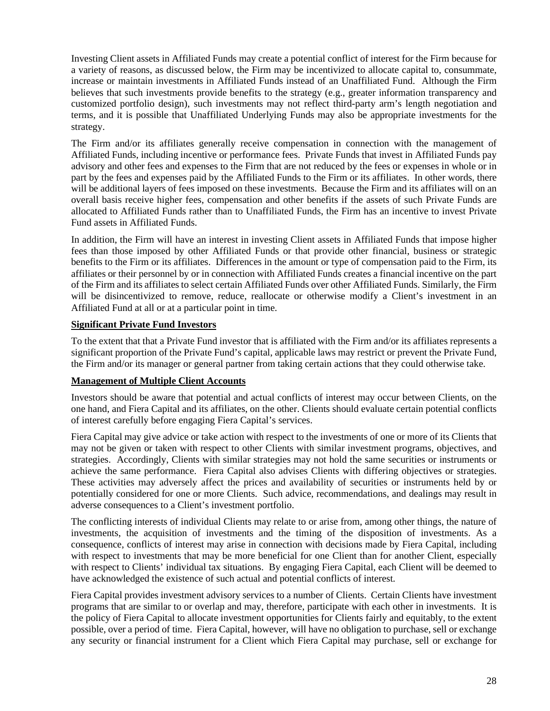Investing Client assets in Affiliated Funds may create a potential conflict of interest for the Firm because for a variety of reasons, as discussed below, the Firm may be incentivized to allocate capital to, consummate, increase or maintain investments in Affiliated Funds instead of an Unaffiliated Fund. Although the Firm believes that such investments provide benefits to the strategy (e.g., greater information transparency and customized portfolio design), such investments may not reflect third-party arm's length negotiation and terms, and it is possible that Unaffiliated Underlying Funds may also be appropriate investments for the strategy.

The Firm and/or its affiliates generally receive compensation in connection with the management of Affiliated Funds, including incentive or performance fees. Private Funds that invest in Affiliated Funds pay advisory and other fees and expenses to the Firm that are not reduced by the fees or expenses in whole or in part by the fees and expenses paid by the Affiliated Funds to the Firm or its affiliates. In other words, there will be additional layers of fees imposed on these investments. Because the Firm and its affiliates will on an overall basis receive higher fees, compensation and other benefits if the assets of such Private Funds are allocated to Affiliated Funds rather than to Unaffiliated Funds, the Firm has an incentive to invest Private Fund assets in Affiliated Funds.

In addition, the Firm will have an interest in investing Client assets in Affiliated Funds that impose higher fees than those imposed by other Affiliated Funds or that provide other financial, business or strategic benefits to the Firm or its affiliates. Differences in the amount or type of compensation paid to the Firm, its affiliates or their personnel by or in connection with Affiliated Funds creates a financial incentive on the part of the Firm and its affiliates to select certain Affiliated Funds over other Affiliated Funds. Similarly, the Firm will be disincentivized to remove, reduce, reallocate or otherwise modify a Client's investment in an Affiliated Fund at all or at a particular point in time.

### **Significant Private Fund Investors**

To the extent that that a Private Fund investor that is affiliated with the Firm and/or its affiliates represents a significant proportion of the Private Fund's capital, applicable laws may restrict or prevent the Private Fund, the Firm and/or its manager or general partner from taking certain actions that they could otherwise take.

## **Management of Multiple Client Accounts**

Investors should be aware that potential and actual conflicts of interest may occur between Clients, on the one hand, and Fiera Capital and its affiliates, on the other. Clients should evaluate certain potential conflicts of interest carefully before engaging Fiera Capital's services.

Fiera Capital may give advice or take action with respect to the investments of one or more of its Clients that may not be given or taken with respect to other Clients with similar investment programs, objectives, and strategies. Accordingly, Clients with similar strategies may not hold the same securities or instruments or achieve the same performance. Fiera Capital also advises Clients with differing objectives or strategies. These activities may adversely affect the prices and availability of securities or instruments held by or potentially considered for one or more Clients. Such advice, recommendations, and dealings may result in adverse consequences to a Client's investment portfolio.

The conflicting interests of individual Clients may relate to or arise from, among other things, the nature of investments, the acquisition of investments and the timing of the disposition of investments. As a consequence, conflicts of interest may arise in connection with decisions made by Fiera Capital, including with respect to investments that may be more beneficial for one Client than for another Client, especially with respect to Clients' individual tax situations. By engaging Fiera Capital, each Client will be deemed to have acknowledged the existence of such actual and potential conflicts of interest.

Fiera Capital provides investment advisory services to a number of Clients. Certain Clients have investment programs that are similar to or overlap and may, therefore, participate with each other in investments. It is the policy of Fiera Capital to allocate investment opportunities for Clients fairly and equitably, to the extent possible, over a period of time. Fiera Capital, however, will have no obligation to purchase, sell or exchange any security or financial instrument for a Client which Fiera Capital may purchase, sell or exchange for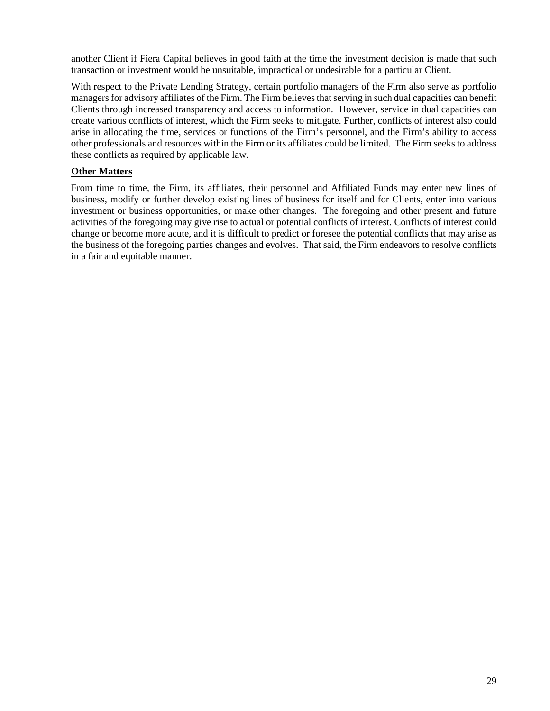another Client if Fiera Capital believes in good faith at the time the investment decision is made that such transaction or investment would be unsuitable, impractical or undesirable for a particular Client.

With respect to the Private Lending Strategy, certain portfolio managers of the Firm also serve as portfolio managers for advisory affiliates of the Firm. The Firm believes that serving in such dual capacities can benefit Clients through increased transparency and access to information. However, service in dual capacities can create various conflicts of interest, which the Firm seeks to mitigate. Further, conflicts of interest also could arise in allocating the time, services or functions of the Firm's personnel, and the Firm's ability to access other professionals and resources within the Firm or its affiliates could be limited. The Firm seeks to address these conflicts as required by applicable law.

### **Other Matters**

From time to time, the Firm, its affiliates, their personnel and Affiliated Funds may enter new lines of business, modify or further develop existing lines of business for itself and for Clients, enter into various investment or business opportunities, or make other changes. The foregoing and other present and future activities of the foregoing may give rise to actual or potential conflicts of interest. Conflicts of interest could change or become more acute, and it is difficult to predict or foresee the potential conflicts that may arise as the business of the foregoing parties changes and evolves. That said, the Firm endeavors to resolve conflicts in a fair and equitable manner.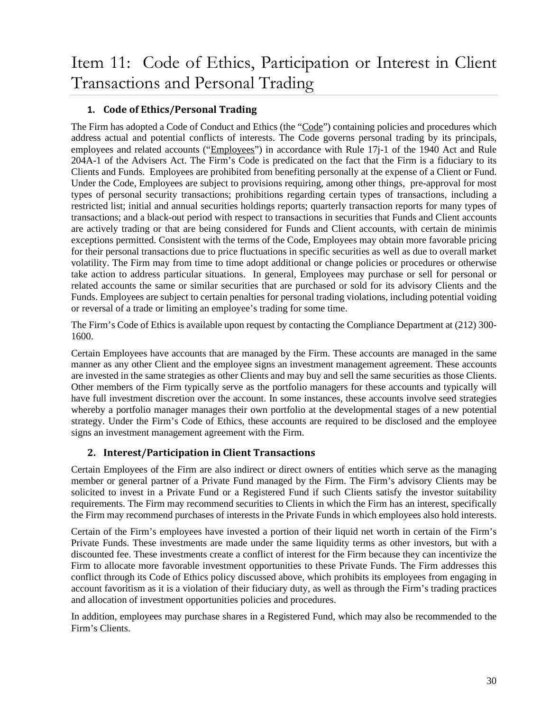# <span id="page-31-0"></span>**1. Code of Ethics/Personal Trading**

The Firm has adopted a Code of Conduct and Ethics (the "Code") containing policies and procedures which address actual and potential conflicts of interests. The Code governs personal trading by its principals, employees and related accounts ("Employees") in accordance with Rule 17j-1 of the 1940 Act and Rule 204A-1 of the Advisers Act. The Firm's Code is predicated on the fact that the Firm is a fiduciary to its Clients and Funds. Employees are prohibited from benefiting personally at the expense of a Client or Fund. Under the Code, Employees are subject to provisions requiring, among other things, pre-approval for most types of personal security transactions; prohibitions regarding certain types of transactions, including a restricted list; initial and annual securities holdings reports; quarterly transaction reports for many types of transactions; and a black-out period with respect to transactions in securities that Funds and Client accounts are actively trading or that are being considered for Funds and Client accounts, with certain de minimis exceptions permitted. Consistent with the terms of the Code, Employees may obtain more favorable pricing for their personal transactions due to price fluctuations in specific securities as well as due to overall market volatility. The Firm may from time to time adopt additional or change policies or procedures or otherwise take action to address particular situations. In general, Employees may purchase or sell for personal or related accounts the same or similar securities that are purchased or sold for its advisory Clients and the Funds. Employees are subject to certain penalties for personal trading violations, including potential voiding or reversal of a trade or limiting an employee's trading for some time.

The Firm's Code of Ethics is available upon request by contacting the Compliance Department at (212) 300- 1600.

Certain Employees have accounts that are managed by the Firm. These accounts are managed in the same manner as any other Client and the employee signs an investment management agreement. These accounts are invested in the same strategies as other Clients and may buy and sell the same securities as those Clients. Other members of the Firm typically serve as the portfolio managers for these accounts and typically will have full investment discretion over the account. In some instances, these accounts involve seed strategies whereby a portfolio manager manages their own portfolio at the developmental stages of a new potential strategy. Under the Firm's Code of Ethics, these accounts are required to be disclosed and the employee signs an investment management agreement with the Firm.

# **2. Interest/Participation in Client Transactions**

Certain Employees of the Firm are also indirect or direct owners of entities which serve as the managing member or general partner of a Private Fund managed by the Firm. The Firm's advisory Clients may be solicited to invest in a Private Fund or a Registered Fund if such Clients satisfy the investor suitability requirements. The Firm may recommend securities to Clients in which the Firm has an interest, specifically the Firm may recommend purchases of interests in the Private Funds in which employees also hold interests.

Certain of the Firm's employees have invested a portion of their liquid net worth in certain of the Firm's Private Funds. These investments are made under the same liquidity terms as other investors, but with a discounted fee. These investments create a conflict of interest for the Firm because they can incentivize the Firm to allocate more favorable investment opportunities to these Private Funds. The Firm addresses this conflict through its Code of Ethics policy discussed above, which prohibits its employees from engaging in account favoritism as it is a violation of their fiduciary duty, as well as through the Firm's trading practices and allocation of investment opportunities policies and procedures.

In addition, employees may purchase shares in a Registered Fund, which may also be recommended to the Firm's Clients.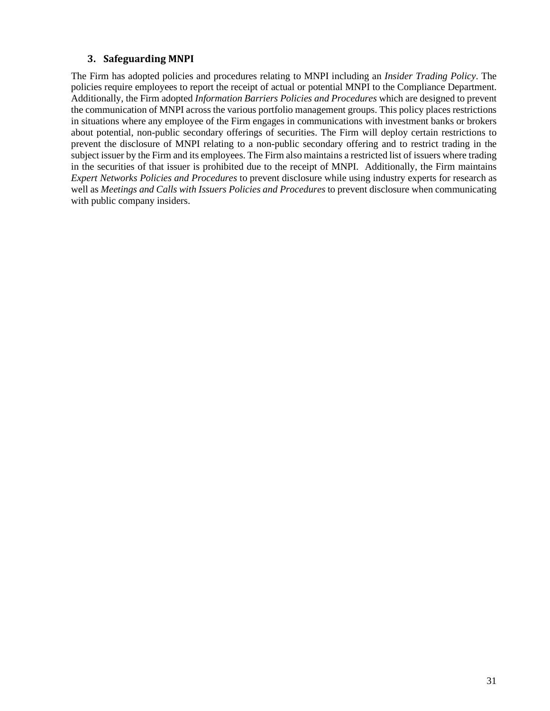# **3. Safeguarding MNPI**

The Firm has adopted policies and procedures relating to MNPI including an *Insider Trading Policy*. The policies require employees to report the receipt of actual or potential MNPI to the Compliance Department. Additionally, the Firm adopted *Information Barriers Policies and Procedures* which are designed to prevent the communication of MNPI across the various portfolio management groups. This policy places restrictions in situations where any employee of the Firm engages in communications with investment banks or brokers about potential, non-public secondary offerings of securities. The Firm will deploy certain restrictions to prevent the disclosure of MNPI relating to a non-public secondary offering and to restrict trading in the subject issuer by the Firm and its employees. The Firm also maintains a restricted list of issuers where trading in the securities of that issuer is prohibited due to the receipt of MNPI. Additionally, the Firm maintains *Expert Networks Policies and Procedures* to prevent disclosure while using industry experts for research as well as *Meetings and Calls with Issuers Policies and Procedures* to prevent disclosure when communicating with public company insiders.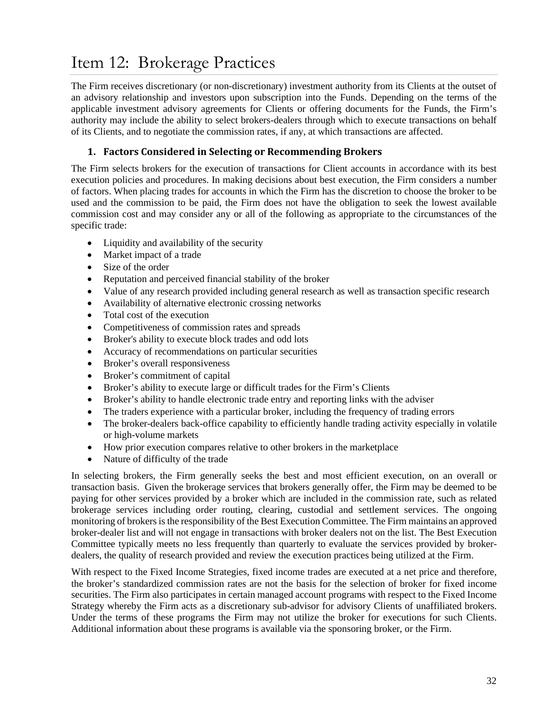# <span id="page-33-0"></span>Item 12: Brokerage Practices

The Firm receives discretionary (or non-discretionary) investment authority from its Clients at the outset of an advisory relationship and investors upon subscription into the Funds. Depending on the terms of the applicable investment advisory agreements for Clients or offering documents for the Funds, the Firm's authority may include the ability to select brokers-dealers through which to execute transactions on behalf of its Clients, and to negotiate the commission rates, if any, at which transactions are affected.

## **1. Factors Considered in Selecting or Recommending Brokers**

The Firm selects brokers for the execution of transactions for Client accounts in accordance with its best execution policies and procedures. In making decisions about best execution, the Firm considers a number of factors. When placing trades for accounts in which the Firm has the discretion to choose the broker to be used and the commission to be paid, the Firm does not have the obligation to seek the lowest available commission cost and may consider any or all of the following as appropriate to the circumstances of the specific trade:

- Liquidity and availability of the security
- Market impact of a trade
- Size of the order
- Reputation and perceived financial stability of the broker
- Value of any research provided including general research as well as transaction specific research
- Availability of alternative electronic crossing networks
- Total cost of the execution
- Competitiveness of commission rates and spreads
- Broker's ability to execute block trades and odd lots
- Accuracy of recommendations on particular securities
- Broker's overall responsiveness
- Broker's commitment of capital
- Broker's ability to execute large or difficult trades for the Firm's Clients
- Broker's ability to handle electronic trade entry and reporting links with the adviser
- The traders experience with a particular broker, including the frequency of trading errors
- The broker-dealers back-office capability to efficiently handle trading activity especially in volatile or high-volume markets
- How prior execution compares relative to other brokers in the marketplace
- Nature of difficulty of the trade

In selecting brokers, the Firm generally seeks the best and most efficient execution, on an overall or transaction basis. Given the brokerage services that brokers generally offer, the Firm may be deemed to be paying for other services provided by a broker which are included in the commission rate, such as related brokerage services including order routing, clearing, custodial and settlement services. The ongoing monitoring of brokers is the responsibility of the Best Execution Committee. The Firm maintains an approved broker-dealer list and will not engage in transactions with broker dealers not on the list. The Best Execution Committee typically meets no less frequently than quarterly to evaluate the services provided by brokerdealers, the quality of research provided and review the execution practices being utilized at the Firm.

With respect to the Fixed Income Strategies, fixed income trades are executed at a net price and therefore, the broker's standardized commission rates are not the basis for the selection of broker for fixed income securities. The Firm also participates in certain managed account programs with respect to the Fixed Income Strategy whereby the Firm acts as a discretionary sub-advisor for advisory Clients of unaffiliated brokers. Under the terms of these programs the Firm may not utilize the broker for executions for such Clients. Additional information about these programs is available via the sponsoring broker, or the Firm.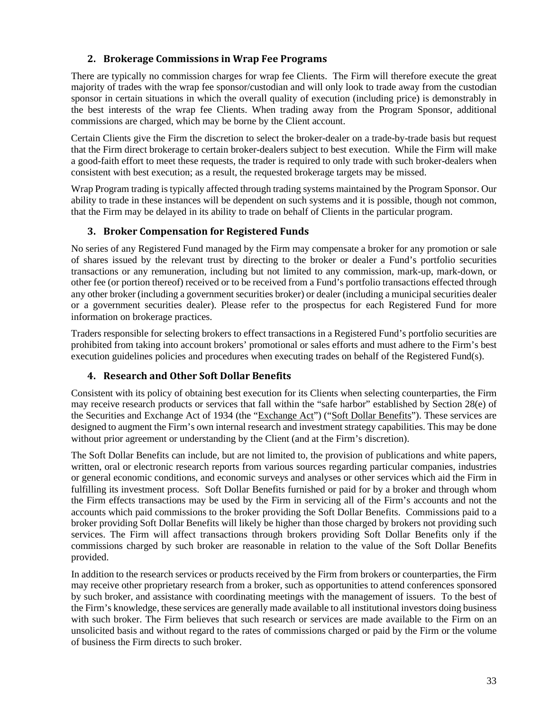# **2. Brokerage Commissions in Wrap Fee Programs**

There are typically no commission charges for wrap fee Clients. The Firm will therefore execute the great majority of trades with the wrap fee sponsor/custodian and will only look to trade away from the custodian sponsor in certain situations in which the overall quality of execution (including price) is demonstrably in the best interests of the wrap fee Clients. When trading away from the Program Sponsor, additional commissions are charged, which may be borne by the Client account.

Certain Clients give the Firm the discretion to select the broker-dealer on a trade-by-trade basis but request that the Firm direct brokerage to certain broker-dealers subject to best execution. While the Firm will make a good-faith effort to meet these requests, the trader is required to only trade with such broker-dealers when consistent with best execution; as a result, the requested brokerage targets may be missed.

Wrap Program trading is typically affected through trading systems maintained by the Program Sponsor. Our ability to trade in these instances will be dependent on such systems and it is possible, though not common, that the Firm may be delayed in its ability to trade on behalf of Clients in the particular program.

# **3. Broker Compensation for Registered Funds**

No series of any Registered Fund managed by the Firm may compensate a broker for any promotion or sale of shares issued by the relevant trust by directing to the broker or dealer a Fund's portfolio securities transactions or any remuneration, including but not limited to any commission, mark-up, mark-down, or other fee (or portion thereof) received or to be received from a Fund's portfolio transactions effected through any other broker (including a government securities broker) or dealer (including a municipal securities dealer or a government securities dealer). Please refer to the prospectus for each Registered Fund for more information on brokerage practices.

Traders responsible for selecting brokers to effect transactions in a Registered Fund's portfolio securities are prohibited from taking into account brokers' promotional or sales efforts and must adhere to the Firm's best execution guidelines policies and procedures when executing trades on behalf of the Registered Fund(s).

# **4. Research and Other Soft Dollar Benefits**

Consistent with its policy of obtaining best execution for its Clients when selecting counterparties, the Firm may receive research products or services that fall within the "safe harbor" established by Section 28(e) of the Securities and Exchange Act of 1934 (the "Exchange Act") ("Soft Dollar Benefits"). These services are designed to augment the Firm's own internal research and investment strategy capabilities. This may be done without prior agreement or understanding by the Client (and at the Firm's discretion).

The Soft Dollar Benefits can include, but are not limited to, the provision of publications and white papers, written, oral or electronic research reports from various sources regarding particular companies, industries or general economic conditions, and economic surveys and analyses or other services which aid the Firm in fulfilling its investment process. Soft Dollar Benefits furnished or paid for by a broker and through whom the Firm effects transactions may be used by the Firm in servicing all of the Firm's accounts and not the accounts which paid commissions to the broker providing the Soft Dollar Benefits. Commissions paid to a broker providing Soft Dollar Benefits will likely be higher than those charged by brokers not providing such services. The Firm will affect transactions through brokers providing Soft Dollar Benefits only if the commissions charged by such broker are reasonable in relation to the value of the Soft Dollar Benefits provided.

In addition to the research services or products received by the Firm from brokers or counterparties, the Firm may receive other proprietary research from a broker, such as opportunities to attend conferences sponsored by such broker, and assistance with coordinating meetings with the management of issuers. To the best of the Firm's knowledge, these services are generally made available to all institutional investors doing business with such broker. The Firm believes that such research or services are made available to the Firm on an unsolicited basis and without regard to the rates of commissions charged or paid by the Firm or the volume of business the Firm directs to such broker.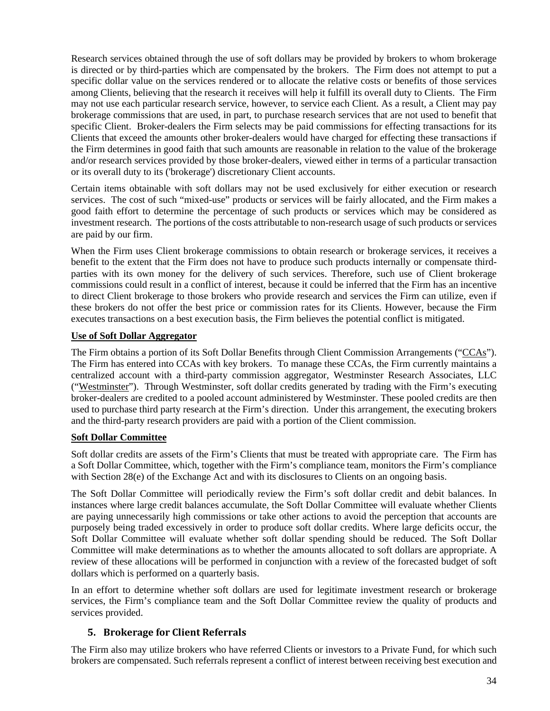Research services obtained through the use of soft dollars may be provided by brokers to whom brokerage is directed or by third-parties which are compensated by the brokers. The Firm does not attempt to put a specific dollar value on the services rendered or to allocate the relative costs or benefits of those services among Clients, believing that the research it receives will help it fulfill its overall duty to Clients. The Firm may not use each particular research service, however, to service each Client. As a result, a Client may pay brokerage commissions that are used, in part, to purchase research services that are not used to benefit that specific Client. Broker-dealers the Firm selects may be paid commissions for effecting transactions for its Clients that exceed the amounts other broker-dealers would have charged for effecting these transactions if the Firm determines in good faith that such amounts are reasonable in relation to the value of the brokerage and/or research services provided by those broker-dealers, viewed either in terms of a particular transaction or its overall duty to its ('brokerage') discretionary Client accounts.

Certain items obtainable with soft dollars may not be used exclusively for either execution or research services. The cost of such "mixed-use" products or services will be fairly allocated, and the Firm makes a good faith effort to determine the percentage of such products or services which may be considered as investment research. The portions of the costs attributable to non-research usage of such products or services are paid by our firm.

When the Firm uses Client brokerage commissions to obtain research or brokerage services, it receives a benefit to the extent that the Firm does not have to produce such products internally or compensate thirdparties with its own money for the delivery of such services. Therefore, such use of Client brokerage commissions could result in a conflict of interest, because it could be inferred that the Firm has an incentive to direct Client brokerage to those brokers who provide research and services the Firm can utilize, even if these brokers do not offer the best price or commission rates for its Clients. However, because the Firm executes transactions on a best execution basis, the Firm believes the potential conflict is mitigated.

### **Use of Soft Dollar Aggregator**

The Firm obtains a portion of its Soft Dollar Benefits through Client Commission Arrangements ("CCAs"). The Firm has entered into CCAs with key brokers. To manage these CCAs, the Firm currently maintains a centralized account with a third-party commission aggregator, Westminster Research Associates, LLC ("Westminster"). Through Westminster, soft dollar credits generated by trading with the Firm's executing broker-dealers are credited to a pooled account administered by Westminster. These pooled credits are then used to purchase third party research at the Firm's direction. Under this arrangement, the executing brokers and the third-party research providers are paid with a portion of the Client commission.

#### **Soft Dollar Committee**

Soft dollar credits are assets of the Firm's Clients that must be treated with appropriate care. The Firm has a Soft Dollar Committee, which, together with the Firm's compliance team, monitors the Firm's compliance with Section 28(e) of the Exchange Act and with its disclosures to Clients on an ongoing basis.

The Soft Dollar Committee will periodically review the Firm's soft dollar credit and debit balances. In instances where large credit balances accumulate, the Soft Dollar Committee will evaluate whether Clients are paying unnecessarily high commissions or take other actions to avoid the perception that accounts are purposely being traded excessively in order to produce soft dollar credits. Where large deficits occur, the Soft Dollar Committee will evaluate whether soft dollar spending should be reduced. The Soft Dollar Committee will make determinations as to whether the amounts allocated to soft dollars are appropriate. A review of these allocations will be performed in conjunction with a review of the forecasted budget of soft dollars which is performed on a quarterly basis.

In an effort to determine whether soft dollars are used for legitimate investment research or brokerage services, the Firm's compliance team and the Soft Dollar Committee review the quality of products and services provided.

# **5. Brokerage for Client Referrals**

The Firm also may utilize brokers who have referred Clients or investors to a Private Fund, for which such brokers are compensated. Such referrals represent a conflict of interest between receiving best execution and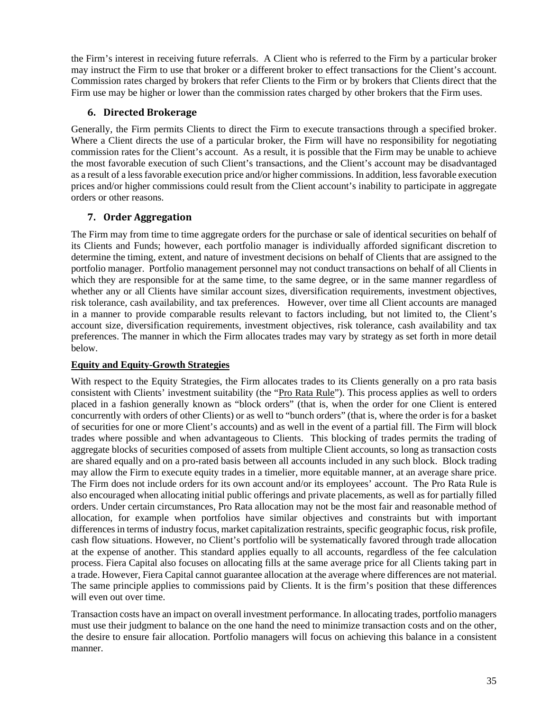the Firm's interest in receiving future referrals. A Client who is referred to the Firm by a particular broker may instruct the Firm to use that broker or a different broker to effect transactions for the Client's account. Commission rates charged by brokers that refer Clients to the Firm or by brokers that Clients direct that the Firm use may be higher or lower than the commission rates charged by other brokers that the Firm uses.

## **6. Directed Brokerage**

Generally, the Firm permits Clients to direct the Firm to execute transactions through a specified broker. Where a Client directs the use of a particular broker, the Firm will have no responsibility for negotiating commission rates for the Client's account. As a result, it is possible that the Firm may be unable to achieve the most favorable execution of such Client's transactions, and the Client's account may be disadvantaged as a result of a less favorable execution price and/or higher commissions. In addition, less favorable execution prices and/or higher commissions could result from the Client account's inability to participate in aggregate orders or other reasons.

# **7. Order Aggregation**

The Firm may from time to time aggregate orders for the purchase or sale of identical securities on behalf of its Clients and Funds; however, each portfolio manager is individually afforded significant discretion to determine the timing, extent, and nature of investment decisions on behalf of Clients that are assigned to the portfolio manager. Portfolio management personnel may not conduct transactions on behalf of all Clients in which they are responsible for at the same time, to the same degree, or in the same manner regardless of whether any or all Clients have similar account sizes, diversification requirements, investment objectives, risk tolerance, cash availability, and tax preferences. However, over time all Client accounts are managed in a manner to provide comparable results relevant to factors including, but not limited to, the Client's account size, diversification requirements, investment objectives, risk tolerance, cash availability and tax preferences. The manner in which the Firm allocates trades may vary by strategy as set forth in more detail below.

# **Equity and Equity-Growth Strategies**

With respect to the Equity Strategies, the Firm allocates trades to its Clients generally on a pro rata basis consistent with Clients' investment suitability (the "Pro Rata Rule"). This process applies as well to orders placed in a fashion generally known as "block orders" (that is, when the order for one Client is entered concurrently with orders of other Clients) or as well to "bunch orders" (that is, where the order is for a basket of securities for one or more Client's accounts) and as well in the event of a partial fill. The Firm will block trades where possible and when advantageous to Clients. This blocking of trades permits the trading of aggregate blocks of securities composed of assets from multiple Client accounts, so long as transaction costs are shared equally and on a pro-rated basis between all accounts included in any such block. Block trading may allow the Firm to execute equity trades in a timelier, more equitable manner, at an average share price. The Firm does not include orders for its own account and/or its employees' account. The Pro Rata Rule is also encouraged when allocating initial public offerings and private placements, as well as for partially filled orders. Under certain circumstances, Pro Rata allocation may not be the most fair and reasonable method of allocation, for example when portfolios have similar objectives and constraints but with important differences in terms of industry focus, market capitalization restraints, specific geographic focus, risk profile, cash flow situations. However, no Client's portfolio will be systematically favored through trade allocation at the expense of another. This standard applies equally to all accounts, regardless of the fee calculation process. Fiera Capital also focuses on allocating fills at the same average price for all Clients taking part in a trade. However, Fiera Capital cannot guarantee allocation at the average where differences are not material. The same principle applies to commissions paid by Clients. It is the firm's position that these differences will even out over time.

Transaction costs have an impact on overall investment performance. In allocating trades, portfolio managers must use their judgment to balance on the one hand the need to minimize transaction costs and on the other, the desire to ensure fair allocation. Portfolio managers will focus on achieving this balance in a consistent manner.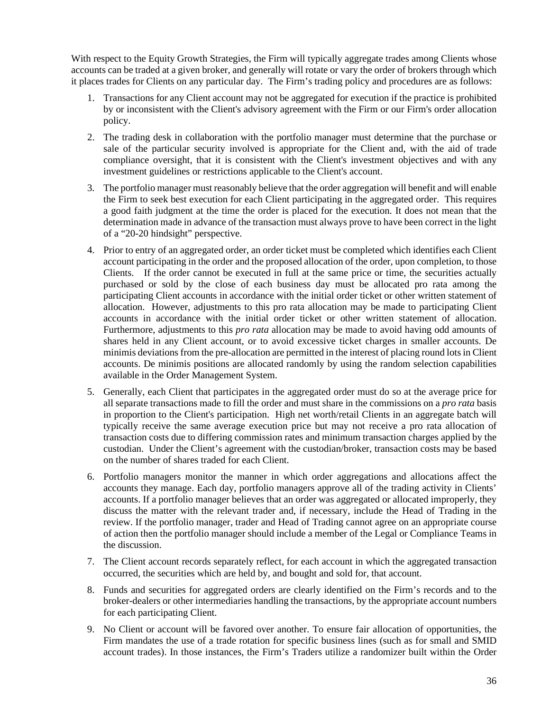With respect to the Equity Growth Strategies, the Firm will typically aggregate trades among Clients whose accounts can be traded at a given broker, and generally will rotate or vary the order of brokers through which it places trades for Clients on any particular day. The Firm's trading policy and procedures are as follows:

- 1. Transactions for any Client account may not be aggregated for execution if the practice is prohibited by or inconsistent with the Client's advisory agreement with the Firm or our Firm's order allocation policy.
- 2. The trading desk in collaboration with the portfolio manager must determine that the purchase or sale of the particular security involved is appropriate for the Client and, with the aid of trade compliance oversight, that it is consistent with the Client's investment objectives and with any investment guidelines or restrictions applicable to the Client's account.
- 3. The portfolio manager must reasonably believe that the order aggregation will benefit and will enable the Firm to seek best execution for each Client participating in the aggregated order. This requires a good faith judgment at the time the order is placed for the execution. It does not mean that the determination made in advance of the transaction must always prove to have been correct in the light of a "20-20 hindsight" perspective.
- 4. Prior to entry of an aggregated order, an order ticket must be completed which identifies each Client account participating in the order and the proposed allocation of the order, upon completion, to those Clients. If the order cannot be executed in full at the same price or time, the securities actually purchased or sold by the close of each business day must be allocated pro rata among the participating Client accounts in accordance with the initial order ticket or other written statement of allocation. However, adjustments to this pro rata allocation may be made to participating Client accounts in accordance with the initial order ticket or other written statement of allocation. Furthermore, adjustments to this *pro rata* allocation may be made to avoid having odd amounts of shares held in any Client account, or to avoid excessive ticket charges in smaller accounts. De minimis deviations from the pre-allocation are permitted in the interest of placing round lots in Client accounts. De minimis positions are allocated randomly by using the random selection capabilities available in the Order Management System.
- 5. Generally, each Client that participates in the aggregated order must do so at the average price for all separate transactions made to fill the order and must share in the commissions on a *pro rata* basis in proportion to the Client's participation. High net worth/retail Clients in an aggregate batch will typically receive the same average execution price but may not receive a pro rata allocation of transaction costs due to differing commission rates and minimum transaction charges applied by the custodian. Under the Client's agreement with the custodian/broker, transaction costs may be based on the number of shares traded for each Client.
- 6. Portfolio managers monitor the manner in which order aggregations and allocations affect the accounts they manage. Each day, portfolio managers approve all of the trading activity in Clients' accounts. If a portfolio manager believes that an order was aggregated or allocated improperly, they discuss the matter with the relevant trader and, if necessary, include the Head of Trading in the review. If the portfolio manager, trader and Head of Trading cannot agree on an appropriate course of action then the portfolio manager should include a member of the Legal or Compliance Teams in the discussion.
- 7. The Client account records separately reflect, for each account in which the aggregated transaction occurred, the securities which are held by, and bought and sold for, that account.
- 8. Funds and securities for aggregated orders are clearly identified on the Firm's records and to the broker-dealers or other intermediaries handling the transactions, by the appropriate account numbers for each participating Client.
- 9. No Client or account will be favored over another. To ensure fair allocation of opportunities, the Firm mandates the use of a trade rotation for specific business lines (such as for small and SMID account trades). In those instances, the Firm's Traders utilize a randomizer built within the Order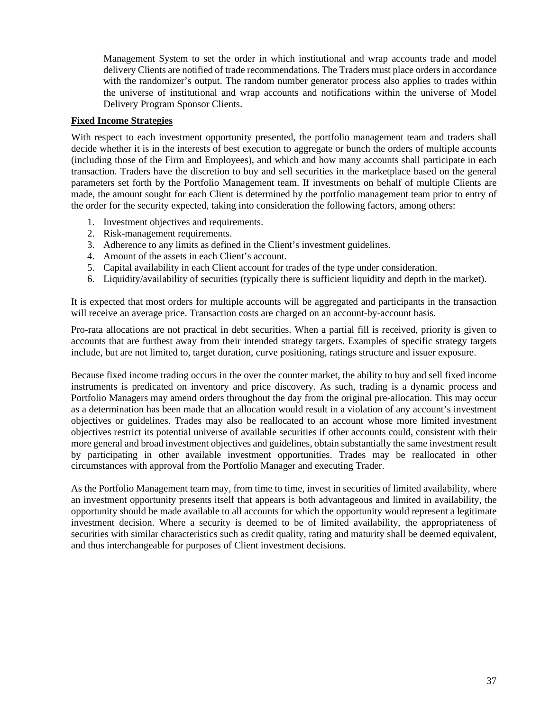Management System to set the order in which institutional and wrap accounts trade and model delivery Clients are notified of trade recommendations. The Traders must place orders in accordance with the randomizer's output. The random number generator process also applies to trades within the universe of institutional and wrap accounts and notifications within the universe of Model Delivery Program Sponsor Clients.

### **Fixed Income Strategies**

With respect to each investment opportunity presented, the portfolio management team and traders shall decide whether it is in the interests of best execution to aggregate or bunch the orders of multiple accounts (including those of the Firm and Employees), and which and how many accounts shall participate in each transaction. Traders have the discretion to buy and sell securities in the marketplace based on the general parameters set forth by the Portfolio Management team. If investments on behalf of multiple Clients are made, the amount sought for each Client is determined by the portfolio management team prior to entry of the order for the security expected, taking into consideration the following factors, among others:

- 1. Investment objectives and requirements.
- 2. Risk-management requirements.
- 3. Adherence to any limits as defined in the Client's investment guidelines.
- 4. Amount of the assets in each Client's account.
- 5. Capital availability in each Client account for trades of the type under consideration.
- 6. Liquidity/availability of securities (typically there is sufficient liquidity and depth in the market).

It is expected that most orders for multiple accounts will be aggregated and participants in the transaction will receive an average price. Transaction costs are charged on an account-by-account basis.

Pro-rata allocations are not practical in debt securities. When a partial fill is received, priority is given to accounts that are furthest away from their intended strategy targets. Examples of specific strategy targets include, but are not limited to, target duration, curve positioning, ratings structure and issuer exposure.

Because fixed income trading occurs in the over the counter market, the ability to buy and sell fixed income instruments is predicated on inventory and price discovery. As such, trading is a dynamic process and Portfolio Managers may amend orders throughout the day from the original pre-allocation. This may occur as a determination has been made that an allocation would result in a violation of any account's investment objectives or guidelines. Trades may also be reallocated to an account whose more limited investment objectives restrict its potential universe of available securities if other accounts could, consistent with their more general and broad investment objectives and guidelines, obtain substantially the same investment result by participating in other available investment opportunities. Trades may be reallocated in other circumstances with approval from the Portfolio Manager and executing Trader.

As the Portfolio Management team may, from time to time, invest in securities of limited availability, where an investment opportunity presents itself that appears is both advantageous and limited in availability, the opportunity should be made available to all accounts for which the opportunity would represent a legitimate investment decision. Where a security is deemed to be of limited availability, the appropriateness of securities with similar characteristics such as credit quality, rating and maturity shall be deemed equivalent, and thus interchangeable for purposes of Client investment decisions.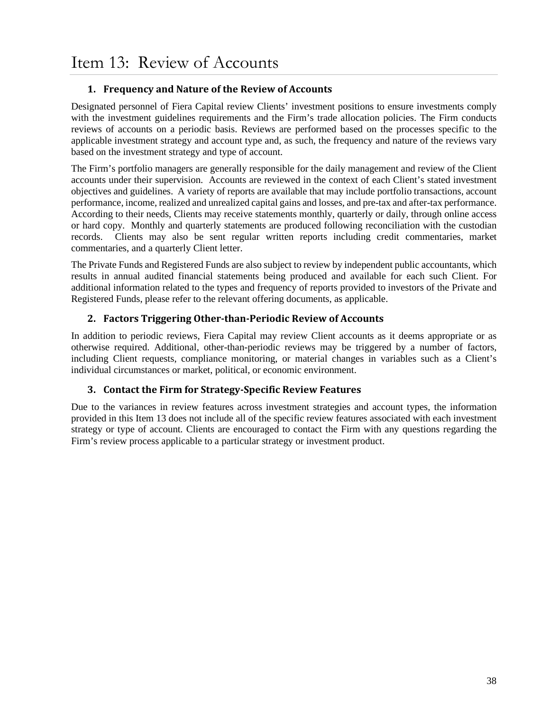# <span id="page-39-0"></span>**1. Frequency and Nature of the Review of Accounts**

Designated personnel of Fiera Capital review Clients' investment positions to ensure investments comply with the investment guidelines requirements and the Firm's trade allocation policies. The Firm conducts reviews of accounts on a periodic basis. Reviews are performed based on the processes specific to the applicable investment strategy and account type and, as such, the frequency and nature of the reviews vary based on the investment strategy and type of account.

The Firm's portfolio managers are generally responsible for the daily management and review of the Client accounts under their supervision. Accounts are reviewed in the context of each Client's stated investment objectives and guidelines. A variety of reports are available that may include portfolio transactions, account performance, income, realized and unrealized capital gains and losses, and pre-tax and after-tax performance. According to their needs, Clients may receive statements monthly, quarterly or daily, through online access or hard copy. Monthly and quarterly statements are produced following reconciliation with the custodian records. Clients may also be sent regular written reports including credit commentaries, market commentaries, and a quarterly Client letter.

The Private Funds and Registered Funds are also subject to review by independent public accountants, which results in annual audited financial statements being produced and available for each such Client. For additional information related to the types and frequency of reports provided to investors of the Private and Registered Funds, please refer to the relevant offering documents, as applicable.

# **2. Factors Triggering Other-than-Periodic Review of Accounts**

In addition to periodic reviews, Fiera Capital may review Client accounts as it deems appropriate or as otherwise required. Additional, other-than-periodic reviews may be triggered by a number of factors, including Client requests, compliance monitoring, or material changes in variables such as a Client's individual circumstances or market, political, or economic environment.

# **3. Contact the Firm for Strategy-Specific Review Features**

Due to the variances in review features across investment strategies and account types, the information provided in this Item 13 does not include all of the specific review features associated with each investment strategy or type of account. Clients are encouraged to contact the Firm with any questions regarding the Firm's review process applicable to a particular strategy or investment product.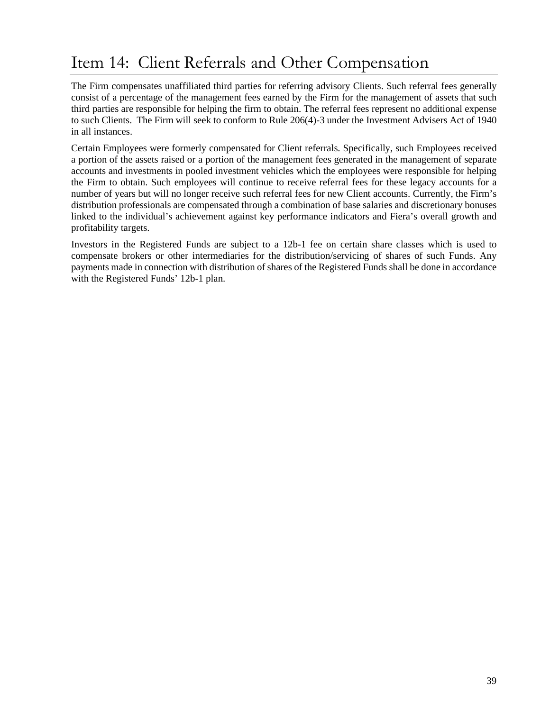# <span id="page-40-0"></span>Item 14: Client Referrals and Other Compensation

The Firm compensates unaffiliated third parties for referring advisory Clients. Such referral fees generally consist of a percentage of the management fees earned by the Firm for the management of assets that such third parties are responsible for helping the firm to obtain. The referral fees represent no additional expense to such Clients. The Firm will seek to conform to Rule 206(4)-3 under the Investment Advisers Act of 1940 in all instances.

Certain Employees were formerly compensated for Client referrals. Specifically, such Employees received a portion of the assets raised or a portion of the management fees generated in the management of separate accounts and investments in pooled investment vehicles which the employees were responsible for helping the Firm to obtain. Such employees will continue to receive referral fees for these legacy accounts for a number of years but will no longer receive such referral fees for new Client accounts. Currently, the Firm's distribution professionals are compensated through a combination of base salaries and discretionary bonuses linked to the individual's achievement against key performance indicators and Fiera's overall growth and profitability targets.

Investors in the Registered Funds are subject to a 12b-1 fee on certain share classes which is used to compensate brokers or other intermediaries for the distribution/servicing of shares of such Funds. Any payments made in connection with distribution of shares of the Registered Funds shall be done in accordance with the Registered Funds' 12b-1 plan.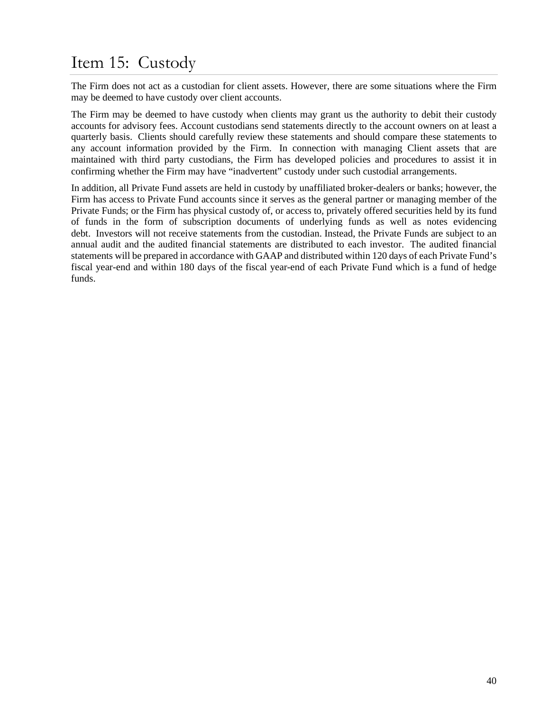# <span id="page-41-0"></span>Item 15: Custody

The Firm does not act as a custodian for client assets. However, there are some situations where the Firm may be deemed to have custody over client accounts.

The Firm may be deemed to have custody when clients may grant us the authority to debit their custody accounts for advisory fees. Account custodians send statements directly to the account owners on at least a quarterly basis. Clients should carefully review these statements and should compare these statements to any account information provided by the Firm. In connection with managing Client assets that are maintained with third party custodians, the Firm has developed policies and procedures to assist it in confirming whether the Firm may have "inadvertent" custody under such custodial arrangements.

In addition, all Private Fund assets are held in custody by unaffiliated broker-dealers or banks; however, the Firm has access to Private Fund accounts since it serves as the general partner or managing member of the Private Funds; or the Firm has physical custody of, or access to, privately offered securities held by its fund of funds in the form of subscription documents of underlying funds as well as notes evidencing debt. Investors will not receive statements from the custodian. Instead, the Private Funds are subject to an annual audit and the audited financial statements are distributed to each investor. The audited financial statements will be prepared in accordance with GAAP and distributed within 120 days of each Private Fund's fiscal year-end and within 180 days of the fiscal year-end of each Private Fund which is a fund of hedge funds.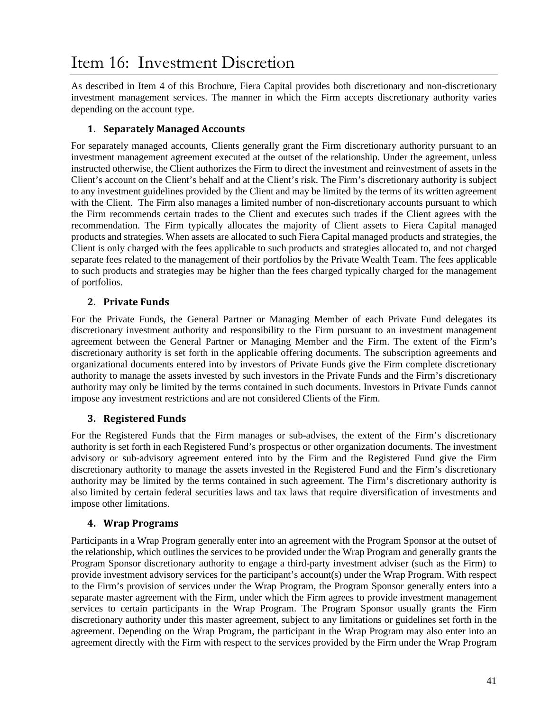# <span id="page-42-0"></span>Item 16: Investment Discretion

As described in Item 4 of this Brochure, Fiera Capital provides both discretionary and non-discretionary investment management services. The manner in which the Firm accepts discretionary authority varies depending on the account type.

## **1. Separately Managed Accounts**

For separately managed accounts, Clients generally grant the Firm discretionary authority pursuant to an investment management agreement executed at the outset of the relationship. Under the agreement, unless instructed otherwise, the Client authorizes the Firm to direct the investment and reinvestment of assets in the Client's account on the Client's behalf and at the Client's risk. The Firm's discretionary authority is subject to any investment guidelines provided by the Client and may be limited by the terms of its written agreement with the Client. The Firm also manages a limited number of non-discretionary accounts pursuant to which the Firm recommends certain trades to the Client and executes such trades if the Client agrees with the recommendation. The Firm typically allocates the majority of Client assets to Fiera Capital managed products and strategies. When assets are allocated to such Fiera Capital managed products and strategies, the Client is only charged with the fees applicable to such products and strategies allocated to, and not charged separate fees related to the management of their portfolios by the Private Wealth Team. The fees applicable to such products and strategies may be higher than the fees charged typically charged for the management of portfolios.

## **2. Private Funds**

For the Private Funds, the General Partner or Managing Member of each Private Fund delegates its discretionary investment authority and responsibility to the Firm pursuant to an investment management agreement between the General Partner or Managing Member and the Firm. The extent of the Firm's discretionary authority is set forth in the applicable offering documents. The subscription agreements and organizational documents entered into by investors of Private Funds give the Firm complete discretionary authority to manage the assets invested by such investors in the Private Funds and the Firm's discretionary authority may only be limited by the terms contained in such documents. Investors in Private Funds cannot impose any investment restrictions and are not considered Clients of the Firm.

## **3. Registered Funds**

For the Registered Funds that the Firm manages or sub-advises, the extent of the Firm's discretionary authority is set forth in each Registered Fund's prospectus or other organization documents. The investment advisory or sub-advisory agreement entered into by the Firm and the Registered Fund give the Firm discretionary authority to manage the assets invested in the Registered Fund and the Firm's discretionary authority may be limited by the terms contained in such agreement. The Firm's discretionary authority is also limited by certain federal securities laws and tax laws that require diversification of investments and impose other limitations.

## **4. Wrap Programs**

Participants in a Wrap Program generally enter into an agreement with the Program Sponsor at the outset of the relationship, which outlines the services to be provided under the Wrap Program and generally grants the Program Sponsor discretionary authority to engage a third-party investment adviser (such as the Firm) to provide investment advisory services for the participant's account(s) under the Wrap Program. With respect to the Firm's provision of services under the Wrap Program, the Program Sponsor generally enters into a separate master agreement with the Firm, under which the Firm agrees to provide investment management services to certain participants in the Wrap Program. The Program Sponsor usually grants the Firm discretionary authority under this master agreement, subject to any limitations or guidelines set forth in the agreement. Depending on the Wrap Program, the participant in the Wrap Program may also enter into an agreement directly with the Firm with respect to the services provided by the Firm under the Wrap Program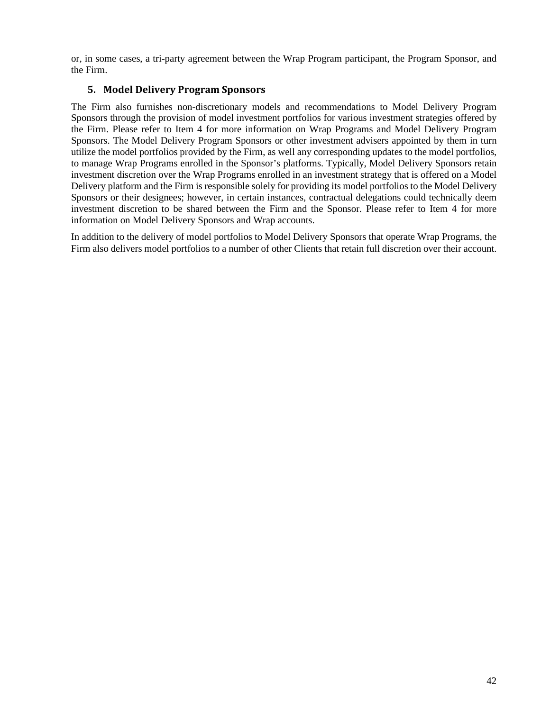or, in some cases, a tri-party agreement between the Wrap Program participant, the Program Sponsor, and the Firm.

## **5. Model Delivery Program Sponsors**

The Firm also furnishes non-discretionary models and recommendations to Model Delivery Program Sponsors through the provision of model investment portfolios for various investment strategies offered by the Firm. Please refer to Item 4 for more information on Wrap Programs and Model Delivery Program Sponsors. The Model Delivery Program Sponsors or other investment advisers appointed by them in turn utilize the model portfolios provided by the Firm, as well any corresponding updates to the model portfolios, to manage Wrap Programs enrolled in the Sponsor's platforms. Typically, Model Delivery Sponsors retain investment discretion over the Wrap Programs enrolled in an investment strategy that is offered on a Model Delivery platform and the Firm is responsible solely for providing its model portfolios to the Model Delivery Sponsors or their designees; however, in certain instances, contractual delegations could technically deem investment discretion to be shared between the Firm and the Sponsor. Please refer to Item 4 for more information on Model Delivery Sponsors and Wrap accounts.

In addition to the delivery of model portfolios to Model Delivery Sponsors that operate Wrap Programs, the Firm also delivers model portfolios to a number of other Clients that retain full discretion over their account.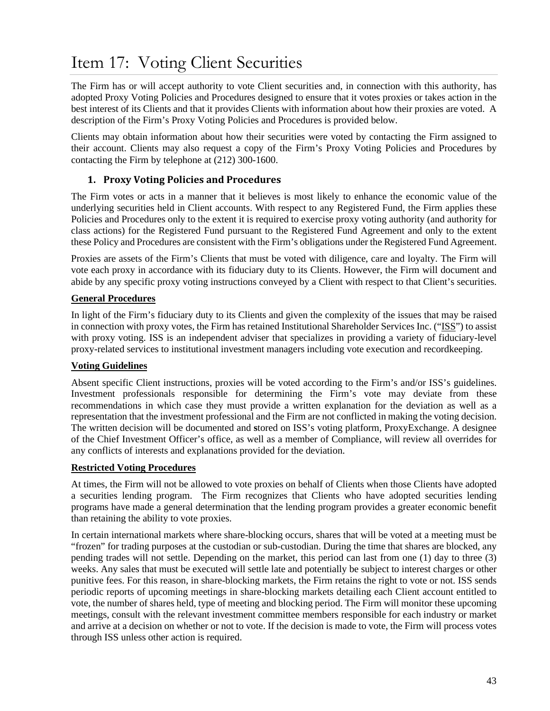# <span id="page-44-0"></span>Item 17: Voting Client Securities

The Firm has or will accept authority to vote Client securities and, in connection with this authority, has adopted Proxy Voting Policies and Procedures designed to ensure that it votes proxies or takes action in the best interest of its Clients and that it provides Clients with information about how their proxies are voted. A description of the Firm's Proxy Voting Policies and Procedures is provided below.

Clients may obtain information about how their securities were voted by contacting the Firm assigned to their account. Clients may also request a copy of the Firm's Proxy Voting Policies and Procedures by contacting the Firm by telephone at (212) 300-1600.

## **1. Proxy Voting Policies and Procedures**

The Firm votes or acts in a manner that it believes is most likely to enhance the economic value of the underlying securities held in Client accounts. With respect to any Registered Fund, the Firm applies these Policies and Procedures only to the extent it is required to exercise proxy voting authority (and authority for class actions) for the Registered Fund pursuant to the Registered Fund Agreement and only to the extent these Policy and Procedures are consistent with the Firm's obligations under the Registered Fund Agreement.

Proxies are assets of the Firm's Clients that must be voted with diligence, care and loyalty. The Firm will vote each proxy in accordance with its fiduciary duty to its Clients. However, the Firm will document and abide by any specific proxy voting instructions conveyed by a Client with respect to that Client's securities.

### **General Procedures**

In light of the Firm's fiduciary duty to its Clients and given the complexity of the issues that may be raised in connection with proxy votes, the Firm has retained Institutional Shareholder Services Inc. ("ISS") to assist with proxy voting. ISS is an independent adviser that specializes in providing a variety of fiduciary-level proxy-related services to institutional investment managers including vote execution and recordkeeping.

## **Voting Guidelines**

Absent specific Client instructions, proxies will be voted according to the Firm's and/or ISS's guidelines. Investment professionals responsible for determining the Firm's vote may deviate from these recommendations in which case they must provide a written explanation for the deviation as well as a representation that the investment professional and the Firm are not conflicted in making the voting decision. The written decision will be documented and **s**tored on ISS's voting platform, ProxyExchange. A designee of the Chief Investment Officer's office, as well as a member of Compliance, will review all overrides for any conflicts of interests and explanations provided for the deviation.

#### **Restricted Voting Procedures**

At times, the Firm will not be allowed to vote proxies on behalf of Clients when those Clients have adopted a securities lending program. The Firm recognizes that Clients who have adopted securities lending programs have made a general determination that the lending program provides a greater economic benefit than retaining the ability to vote proxies.

In certain international markets where share-blocking occurs, shares that will be voted at a meeting must be "frozen" for trading purposes at the custodian or sub-custodian. During the time that shares are blocked, any pending trades will not settle. Depending on the market, this period can last from one (1) day to three (3) weeks. Any sales that must be executed will settle late and potentially be subject to interest charges or other punitive fees. For this reason, in share-blocking markets, the Firm retains the right to vote or not. ISS sends periodic reports of upcoming meetings in share-blocking markets detailing each Client account entitled to vote, the number of shares held, type of meeting and blocking period. The Firm will monitor these upcoming meetings, consult with the relevant investment committee members responsible for each industry or market and arrive at a decision on whether or not to vote. If the decision is made to vote, the Firm will process votes through ISS unless other action is required.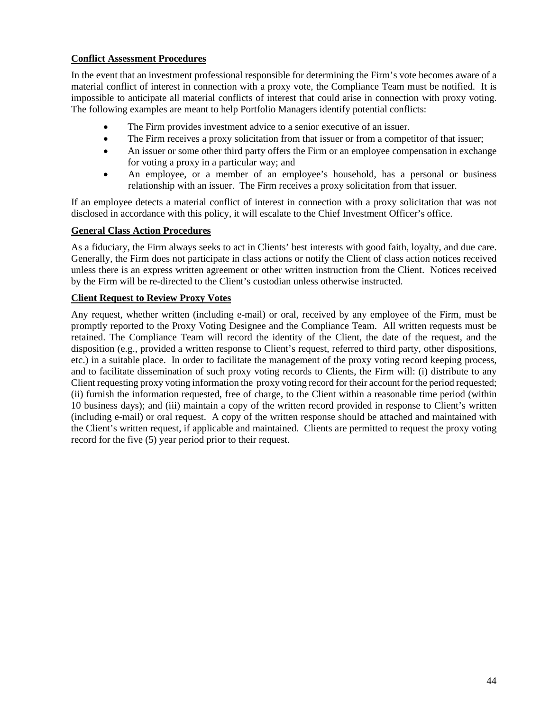## **Conflict Assessment Procedures**

In the event that an investment professional responsible for determining the Firm's vote becomes aware of a material conflict of interest in connection with a proxy vote, the Compliance Team must be notified. It is impossible to anticipate all material conflicts of interest that could arise in connection with proxy voting. The following examples are meant to help Portfolio Managers identify potential conflicts:

- The Firm provides investment advice to a senior executive of an issuer.
- The Firm receives a proxy solicitation from that issuer or from a competitor of that issuer;
- An issuer or some other third party offers the Firm or an employee compensation in exchange for voting a proxy in a particular way; and
- An employee, or a member of an employee's household, has a personal or business relationship with an issuer. The Firm receives a proxy solicitation from that issuer.

If an employee detects a material conflict of interest in connection with a proxy solicitation that was not disclosed in accordance with this policy, it will escalate to the Chief Investment Officer's office.

### **General Class Action Procedures**

As a fiduciary, the Firm always seeks to act in Clients' best interests with good faith, loyalty, and due care. Generally, the Firm does not participate in class actions or notify the Client of class action notices received unless there is an express written agreement or other written instruction from the Client. Notices received by the Firm will be re-directed to the Client's custodian unless otherwise instructed.

### **Client Request to Review Proxy Votes**

Any request, whether written (including e-mail) or oral, received by any employee of the Firm, must be promptly reported to the Proxy Voting Designee and the Compliance Team. All written requests must be retained. The Compliance Team will record the identity of the Client, the date of the request, and the disposition (e.g., provided a written response to Client's request, referred to third party, other dispositions, etc.) in a suitable place. In order to facilitate the management of the proxy voting record keeping process, and to facilitate dissemination of such proxy voting records to Clients, the Firm will: (i) distribute to any Client requesting proxy voting information the proxy voting record for their account for the period requested; (ii) furnish the information requested, free of charge, to the Client within a reasonable time period (within 10 business days); and (iii) maintain a copy of the written record provided in response to Client's written (including e-mail) or oral request. A copy of the written response should be attached and maintained with the Client's written request, if applicable and maintained. Clients are permitted to request the proxy voting record for the five (5) year period prior to their request.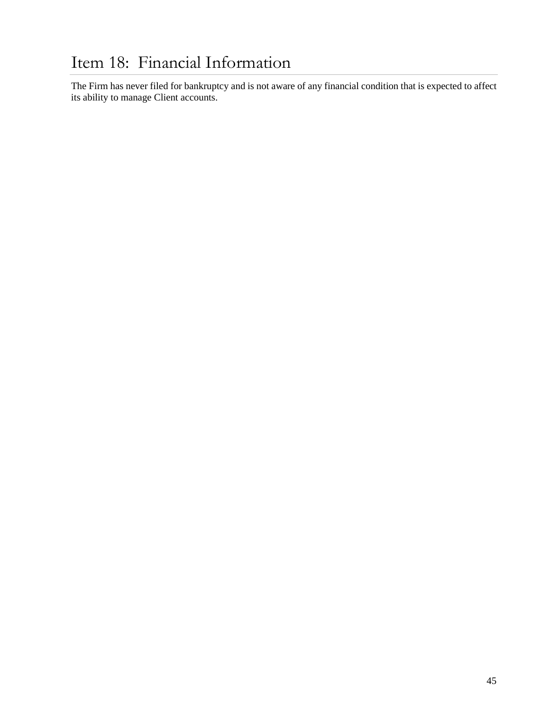<span id="page-46-0"></span>The Firm has never filed for bankruptcy and is not aware of any financial condition that is expected to affect its ability to manage Client accounts.